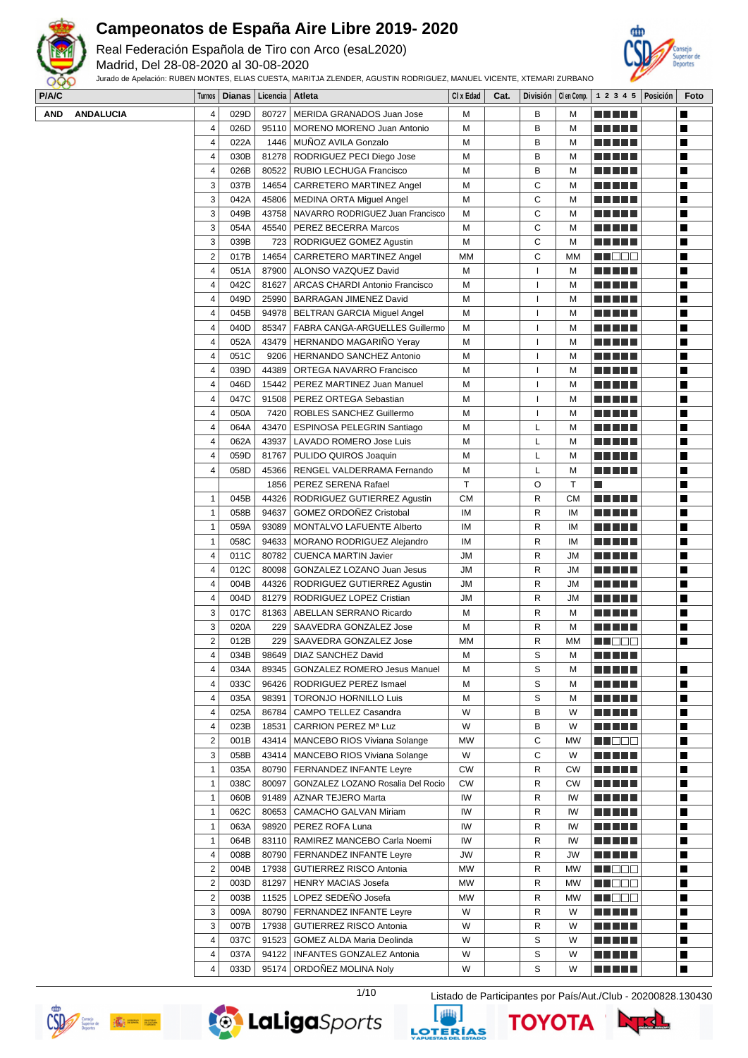

Real Federación Española de Tiro con Arco (esaL2020)

Madrid, Del 28-08-2020 al 30-08-2020

Jurado de Apelación: RUBEN MONTES, ELIAS CUESTA, MARITJA ZLENDER, AGUSTIN RODRIGUEZ, MANUEL VICENTE, XTEMARI ZURBANO



**P/A/C Turnos Dianas Licencia Atleta Cl x Edad Cat. División Cl en Comp. 1 2 3 4 5 Posición Foto**

| $\sim$ |                  |                         | $numo  $ Dianas   Livenvia   Aucta |       |                                          | VI A LUQU | vaı. |              |           | $\vert$ present $\vert$ or each $\vert$ and $\vert$ and $\vert$ and $\vert$ and $\vert$ and $\vert$ and $\vert$ and $\vert$ and $\vert$ and $\vert$ and $\vert$ and $\vert$ and $\vert$ and $\vert$ and $\vert$ and $\vert$ and $\vert$ and $\vert$ and $\vert$ and $\vert$ and $\vert$ and $\vert$ a | $\overline{\phantom{a}}$ |
|--------|------------------|-------------------------|------------------------------------|-------|------------------------------------------|-----------|------|--------------|-----------|-------------------------------------------------------------------------------------------------------------------------------------------------------------------------------------------------------------------------------------------------------------------------------------------------------|--------------------------|
| AND    | <b>ANDALUCIA</b> | 4                       | 029D                               |       | 80727   MERIDA GRANADOS Juan Jose        | м         |      | В            | м         |                                                                                                                                                                                                                                                                                                       | П                        |
|        |                  | 4                       | 026D                               |       | 95110   MORENO MORENO Juan Antonio       | M         |      | B            | М         |                                                                                                                                                                                                                                                                                                       | Ш                        |
|        |                  | 4                       | 022A                               |       | 1446   MUÑOZ AVILA Gonzalo               | M         |      | B            | М         |                                                                                                                                                                                                                                                                                                       | Ш                        |
|        |                  | 4                       | 030B                               |       | 81278   RODRIGUEZ PECI Diego Jose        | M         |      | B            | М         | <u> Liberal Maria II</u>                                                                                                                                                                                                                                                                              | Ш                        |
|        |                  | 4                       |                                    |       |                                          |           |      |              |           |                                                                                                                                                                                                                                                                                                       | Ш                        |
|        |                  |                         | 026B                               | 80522 | RUBIO LECHUGA Francisco                  | M         |      | в            | М         | <u> Literatura de la </u>                                                                                                                                                                                                                                                                             |                          |
|        |                  | 3                       | 037B                               | 14654 | CARRETERO MARTINEZ Angel                 | м         |      | С            | М         | M M M M M                                                                                                                                                                                                                                                                                             | Ш                        |
|        |                  | 3                       | 042A                               | 45806 | MEDINA ORTA Miguel Angel                 | м         |      | C            | М         | <u> Literatur</u>                                                                                                                                                                                                                                                                                     | Ш                        |
|        |                  | 3                       | 049B                               |       | 43758   NAVARRO RODRIGUEZ Juan Francisco | M         |      | С            | М         | <u> Literatura de la p</u>                                                                                                                                                                                                                                                                            | Ш                        |
|        |                  | 3                       | 054A                               |       | 45540   PEREZ BECERRA Marcos             | M         |      | C            | М         | <u> Liberal Maria II</u>                                                                                                                                                                                                                                                                              | Ш                        |
|        |                  | 3                       | 039B                               |       | 723   RODRIGUEZ GOMEZ Agustin            | M         |      | C            | М         | <u> Literatura de la p</u>                                                                                                                                                                                                                                                                            | Ш                        |
|        |                  | $\mathbf 2$             | 017B                               |       | 14654   CARRETERO MARTINEZ Angel         | MM        |      | C            | <b>MM</b> | MU DE E                                                                                                                                                                                                                                                                                               | Ш                        |
|        |                  | 4                       | 051A                               |       | 87900 ALONSO VAZQUEZ David               | M         |      | $\mathbf{I}$ | М         | an bin bin b                                                                                                                                                                                                                                                                                          | Ш                        |
|        |                  | 4                       | 042C                               | 81627 | <b>ARCAS CHARDI Antonio Francisco</b>    | M         |      |              | М         |                                                                                                                                                                                                                                                                                                       | П                        |
|        |                  | 4                       | 049D                               | 25990 | BARRAGAN JIMENEZ David                   | M         |      |              | М         |                                                                                                                                                                                                                                                                                                       | Ш                        |
|        |                  | 4                       | 045B                               |       | 94978   BELTRAN GARCIA Miguel Angel      | M         |      | J.           | М         | <u> Literatura de la </u>                                                                                                                                                                                                                                                                             | ш                        |
|        |                  | 4                       | 040D                               |       | 85347   FABRA CANGA-ARGUELLES Guillermo  | M         |      | -1           | М         | <u> Literatur</u>                                                                                                                                                                                                                                                                                     | ш                        |
|        |                  | 4                       | 052A                               |       | 43479   HERNANDO MAGARIÑO Yeray          | M         |      |              | М         | <u> Literatura de la p</u>                                                                                                                                                                                                                                                                            | Ш                        |
|        |                  | 4                       | 051C                               | 9206  | HERNANDO SANCHEZ Antonio                 | M         |      | J.           | М         | <u> Literatura de la </u>                                                                                                                                                                                                                                                                             | Ш                        |
|        |                  | 4                       | 039D                               | 44389 | ORTEGA NAVARRO Francisco                 | M         |      |              | М         | <u> Literatura de la p</u>                                                                                                                                                                                                                                                                            | Ш                        |
|        |                  | 4                       | 046D                               |       | 15442   PEREZ MARTINEZ Juan Manuel       | M         |      | J.           | М         |                                                                                                                                                                                                                                                                                                       |                          |
|        |                  |                         |                                    |       |                                          |           |      |              |           | <u> Literatura de la </u>                                                                                                                                                                                                                                                                             | Ш                        |
|        |                  | 4                       | 047C                               |       | 91508   PEREZ ORTEGA Sebastian           | M         |      |              | М         |                                                                                                                                                                                                                                                                                                       | a l                      |
|        |                  | 4                       | 050A                               |       | 7420   ROBLES SANCHEZ Guillermo          | м         |      | J.           | м         | <u> Liberal Maria II</u>                                                                                                                                                                                                                                                                              | Ш                        |
|        |                  | 4                       | 064A                               |       | 43470   ESPINOSA PELEGRIN Santiago       | M         |      | L            | М         | a di kacamatan Ing                                                                                                                                                                                                                                                                                    | П                        |
|        |                  | 4                       | 062A                               | 43937 | LAVADO ROMERO Jose Luis                  | M         |      | L            | М         | <u> El Berto de la </u>                                                                                                                                                                                                                                                                               | П                        |
|        |                  | 4                       | 059D                               | 81767 | PULIDO QUIROS Joaquin                    | M         |      | L            | М         | <u> El Bratal</u>                                                                                                                                                                                                                                                                                     | ш                        |
|        |                  | 4                       | 058D                               |       | 45366   RENGEL VALDERRAMA Fernando       | М         |      | L            | М         | <u> Literatur</u>                                                                                                                                                                                                                                                                                     | Ш                        |
|        |                  |                         |                                    |       | 1856   PEREZ SERENA Rafael               | T         |      | O            | Т         | L.                                                                                                                                                                                                                                                                                                    | Ш                        |
|        |                  | 1                       | 045B                               |       | 44326   RODRIGUEZ GUTIERREZ Agustin      | <b>CM</b> |      | R            | <b>CM</b> | an kalendar                                                                                                                                                                                                                                                                                           | Ш                        |
|        |                  | 1                       | 058B                               | 94637 | <b>GOMEZ ORDOÑEZ Cristobal</b>           | IМ        |      | R            | ΙM        |                                                                                                                                                                                                                                                                                                       | Ш                        |
|        |                  | $\mathbf{1}$            | 059A                               |       | 93089   MONTALVO LAFUENTE Alberto        | IM        |      | R            | IM        |                                                                                                                                                                                                                                                                                                       | Ш                        |
|        |                  | 1                       | 058C                               |       | 94633   MORANO RODRIGUEZ Alejandro       | IM        |      | R            | IM        |                                                                                                                                                                                                                                                                                                       | Ш                        |
|        |                  | 4                       | 011C                               |       | 80782   CUENCA MARTIN Javier             | JM        |      | R            | <b>JM</b> | <u> El El El E</u>                                                                                                                                                                                                                                                                                    | П                        |
|        |                  | 4                       | 012C                               |       | 80098   GONZALEZ LOZANO Juan Jesus       | JM        |      | R            | JМ        | <u> La La La</u>                                                                                                                                                                                                                                                                                      | Ш                        |
|        |                  | 4                       | 004B                               | 44326 | RODRIGUEZ GUTIERREZ Agustin              | JM        |      | R            | <b>JM</b> | <u> Literatur</u>                                                                                                                                                                                                                                                                                     | ш                        |
|        |                  |                         |                                    |       |                                          | <b>JM</b> |      | R            | <b>JM</b> |                                                                                                                                                                                                                                                                                                       |                          |
|        |                  | 4                       | 004D                               | 81279 | RODRIGUEZ LOPEZ Cristian                 |           |      |              |           | <u> Literatura de la p</u>                                                                                                                                                                                                                                                                            | Ш                        |
|        |                  | 3                       | 017C                               | 81363 | ABELLAN SERRANO Ricardo                  | M         |      | R            | М         |                                                                                                                                                                                                                                                                                                       | $\blacksquare$           |
|        |                  | 3                       | 020A                               | 229   | SAAVEDRA GONZALEZ Jose                   | M         |      | R            | М         | an kalendar                                                                                                                                                                                                                                                                                           | Ш                        |
|        |                  | $\overline{2}$          | 012B                               |       | 229   SAAVEDRA GONZALEZ Jose             | МM        |      | R            | МM        | <u>Literatu</u>                                                                                                                                                                                                                                                                                       | Ш                        |
|        |                  | $\overline{4}$          | 034B                               |       | 98649   DIAZ SANCHEZ David               | M         |      | S            | М         | an kalendar                                                                                                                                                                                                                                                                                           |                          |
|        |                  | 4                       | 034A                               | 89345 | <b>GONZALEZ ROMERO Jesus Manuel</b>      | м         |      | S            | М         |                                                                                                                                                                                                                                                                                                       | П                        |
|        |                  | 4                       | 033C                               | 96426 | <b>RODRIGUEZ PEREZ Ismael</b>            | M         |      | S            | М         | <u> El Berto de la </u>                                                                                                                                                                                                                                                                               | $\blacksquare$           |
|        |                  | 4                       | 035A                               | 98391 | <b>TORONJO HORNILLO Luis</b>             | М         |      | S            | М         | <b>REBEL</b>                                                                                                                                                                                                                                                                                          | ш                        |
|        |                  | 4                       | 025A                               | 86784 | CAMPO TELLEZ Casandra                    | W         |      | в            | W         | ME NE S                                                                                                                                                                                                                                                                                               | П                        |
|        |                  | 4                       | 023B                               | 18531 | CARRION PEREZ Mª Luz                     | W         |      | В            | W         | <u> Literatur</u>                                                                                                                                                                                                                                                                                     | ш                        |
|        |                  | $\overline{\mathbf{c}}$ | 001B                               | 43414 | MANCEBO RIOS Viviana Solange             | MW        |      | С            | MW        | <u>Li Bee</u>                                                                                                                                                                                                                                                                                         | Ш                        |
|        |                  | 3                       | 058B                               | 43414 | MANCEBO RIOS Viviana Solange             | W         |      | С            | W         | <u> Literatur</u>                                                                                                                                                                                                                                                                                     | Ш                        |
|        |                  | 1                       | 035A                               | 80790 | FERNANDEZ INFANTE Leyre                  | <b>CW</b> |      | R            | СW        | M E H H                                                                                                                                                                                                                                                                                               | ш                        |
|        |                  | $\mathbf{1}$            | 038C                               | 80097 | GONZALEZ LOZANO Rosalia Del Rocio        | <b>CW</b> |      | R            | СW        | MAN HE                                                                                                                                                                                                                                                                                                | ш                        |
|        |                  | $\mathbf{1}$            | 060B                               | 91489 | AZNAR TEJERO Marta                       | IW        |      | R            | IW        | <u> Literatur</u>                                                                                                                                                                                                                                                                                     | Ш                        |
|        |                  | $\mathbf{1}$            | 062C                               | 80653 | CAMACHO GALVAN Miriam                    | IW        |      | R            | IW        | <u> El El El E</u>                                                                                                                                                                                                                                                                                    | Ш                        |
|        |                  | 1                       | 063A                               | 98920 | PEREZ ROFA Luna                          | IW        |      | R            | IW        | <b>REBEL</b>                                                                                                                                                                                                                                                                                          | ш                        |
|        |                  |                         |                                    |       |                                          |           |      |              |           |                                                                                                                                                                                                                                                                                                       |                          |
|        |                  | $\mathbf{1}$            | 064B                               | 83110 | RAMIREZ MANCEBO Carla Noemi              | IW        |      | R            | IW        | <u> E SE SE</u>                                                                                                                                                                                                                                                                                       | ш                        |
|        |                  | 4                       | 008B                               | 80790 | FERNANDEZ INFANTE Leyre                  | JW        |      | R            | JW        | <u> Literatur</u>                                                                                                                                                                                                                                                                                     | ш                        |
|        |                  | $\overline{\mathbf{c}}$ | 004B                               |       | 17938   GUTIERREZ RISCO Antonia          | МW        |      | R            | MW        | <u>LI DOC</u>                                                                                                                                                                                                                                                                                         | Ш                        |
|        |                  | $\overline{\mathbf{c}}$ | 003D                               |       | 81297   HENRY MACIAS Josefa              | MW        |      | R            | MW        | W O O O                                                                                                                                                                                                                                                                                               | Ш                        |
|        |                  | $\overline{\mathbf{c}}$ | 003B                               |       | 11525   LOPEZ SEDEÑO Josefa              | МW        |      | R            | MW        | MI DE E                                                                                                                                                                                                                                                                                               | Ш                        |
|        |                  | 3                       | 009A                               |       | 80790   FERNANDEZ INFANTE Leyre          | W         |      | R            | W         | <u> Literatur</u>                                                                                                                                                                                                                                                                                     | ш                        |
|        |                  | 3                       | 007B                               |       | 17938   GUTIERREZ RISCO Antonia          | W         |      | R            | W         | M A H H H                                                                                                                                                                                                                                                                                             | ш                        |
|        |                  | 4                       | 037C                               |       | 91523   GOMEZ ALDA Maria Deolinda        | W         |      | S            | W         | M M M M M                                                                                                                                                                                                                                                                                             | П                        |
|        |                  | 4                       | 037A                               |       | 94122   INFANTES GONZALEZ Antonia        | W         |      | S            | W         | <u> El Berto de la </u>                                                                                                                                                                                                                                                                               | ш                        |
|        |                  | $\overline{4}$          | 033D                               |       | 95174   ORDOÑEZ MOLINA Noly              | W         |      | S            | W         | M S S S S S                                                                                                                                                                                                                                                                                           | П                        |







1/10 Listado de Participantes por País/Aut./Club - 20200828.130430

ΤΟΥΟΤΑ

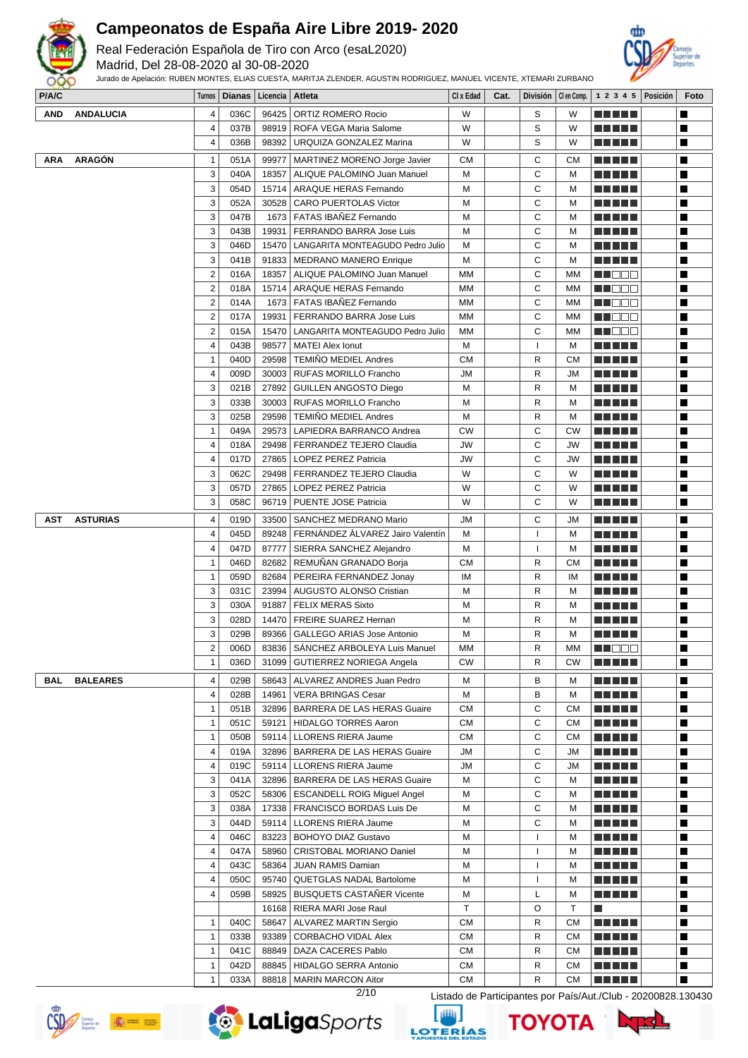

Real Federación Española de Tiro con Arco (esaL2020)

Madrid, Del 28-08-2020 al 30-08-2020



| <b>PIAIU</b> |                  |                | Turnos   Diarias   Licencia   Atleta |       |                                          | UI X EQUO | Gat. |              |              | DIVISION   Gen Comp.   $\perp$ 2 3 4 5   POSICION | <b>roto</b>                                                   |
|--------------|------------------|----------------|--------------------------------------|-------|------------------------------------------|-----------|------|--------------|--------------|---------------------------------------------------|---------------------------------------------------------------|
| <b>AND</b>   | <b>ANDALUCIA</b> | 4              | 036C                                 | 96425 | ORTIZ ROMERO Rocio                       | W         |      | S            | W            |                                                   | ш                                                             |
|              |                  | 4              | 037B                                 |       | 98919   ROFA VEGA Maria Salome           | W         |      | S            | W            |                                                   | П                                                             |
|              |                  | 4              | 036B                                 | 98392 | URQUIZA GONZALEZ Marina                  | W         |      | S            | W            | N E HE H                                          | Ш                                                             |
| <b>ARA</b>   | <b>ARAGÓN</b>    | 1              | 051A                                 | 99977 | MARTINEZ MORENO Jorge Javier             | <b>CM</b> |      | С            | <b>CM</b>    | <u> Liberal Maria II</u>                          | П                                                             |
|              |                  | 3              | 040A                                 | 18357 | ALIQUE PALOMINO Juan Manuel              | M         |      | С            | м            |                                                   |                                                               |
|              |                  | 3              |                                      |       |                                          |           |      |              |              | <u> Liberal Maria II</u>                          | П                                                             |
|              |                  |                | 054D                                 | 15714 | ARAQUE HERAS Fernando                    | М         |      | С            | M            | <u> Liberal Maria II</u>                          | П                                                             |
|              |                  | 3              | 052A                                 | 30528 | <b>CARO PUERTOLAS Victor</b>             | М         |      | C            | M            | <u> Literatur</u>                                 | П                                                             |
|              |                  | 3              | 047B                                 |       | 1673   FATAS IBAÑEZ Fernando             | М         |      | C            | м            | <u> Literatur</u>                                 | П                                                             |
|              |                  | 3              | 043B                                 | 19931 | FERRANDO BARRA Jose Luis                 | M         |      | C            | м            |                                                   | П                                                             |
|              |                  | 3              | 046D                                 |       | 15470 LANGARITA MONTEAGUDO Pedro Julio   | M         |      | C            | M            | <u> El Hel</u>                                    | П                                                             |
|              |                  | 3              | 041B                                 |       | 91833   MEDRANO MANERO Enrique           | M         |      | C            | M            | a di kacamatan Ing                                | П                                                             |
|              |                  | $\overline{2}$ | 016A                                 | 18357 | ALIQUE PALOMINO Juan Manuel              | MМ        |      | С            | MМ           | M NOCH                                            | П                                                             |
|              |                  | $\overline{c}$ | 018A                                 |       | 15714   ARAQUE HERAS Fernando            | MМ        |      | C            | ΜМ           | MU DO V                                           | П                                                             |
|              |                  | $\overline{c}$ | 014A                                 |       | 1673   FATAS IBAÑEZ Fernando             | MМ        |      | С            | MM           | M NOOC                                            | П                                                             |
|              |                  | 2              | 017A                                 | 19931 | FERRANDO BARRA Jose Luis                 | MМ        |      | C            | МM           | M DOO                                             | П                                                             |
|              |                  | $\overline{c}$ | 015A                                 | 15470 | LANGARITA MONTEAGUDO Pedro Julio         | MМ        |      | C            | MМ           | MU DO V                                           | Ш                                                             |
|              |                  | 4              | 043B                                 | 98577 | <b>MATEI Alex Ionut</b>                  | M         |      | $\mathbf{I}$ | M            | M M M M M                                         | Ш                                                             |
|              |                  | $\mathbf{1}$   | 040D                                 |       | 29598   TEMIÑO MEDIEL Andres             | <b>CM</b> |      | R            | <b>CM</b>    |                                                   | П                                                             |
|              |                  | 4              | 009D                                 |       | 30003 RUFAS MORILLO Francho              | <b>JM</b> |      | R            | JM           | <u> El Hel</u>                                    | П                                                             |
|              |                  | 3              | 021B                                 | 27892 | <b>GUILLEN ANGOSTO Diego</b>             | М         |      | R            | м            | a di kacamatan Ing                                | П                                                             |
|              |                  | 3              | 033B                                 | 30003 | <b>RUFAS MORILLO Francho</b>             | M         |      | R            | м            | a da da                                           | П                                                             |
|              |                  | 3              | 025B                                 | 29598 | <b>TEMIÑO MEDIEL Andres</b>              | M         |      | R            | M            | a da da                                           | П                                                             |
|              |                  | $\mathbf{1}$   | 049A                                 | 29573 | LAPIEDRA BARRANCO Andrea                 | <b>CW</b> |      | C            | CW           |                                                   | П                                                             |
|              |                  | 4              | 018A                                 | 29498 | <b>FERRANDEZ TEJERO Claudia</b>          | JW        |      | С            | JW           | m Eister                                          | П                                                             |
|              |                  | 4              | 017D                                 |       | 27865   LOPEZ PEREZ Patricia             | JW        |      | C            | JW           | <u> Liberal Maria II</u>                          | П                                                             |
|              |                  | 3              | 062C                                 | 29498 | <b>FERRANDEZ TEJERO Claudia</b>          | W         |      | C            | W            |                                                   | Ш                                                             |
|              |                  |                |                                      |       |                                          |           |      |              |              | <u> Literatur</u>                                 |                                                               |
|              |                  | 3              | 057D                                 |       | 27865   LOPEZ PEREZ Patricia             | W         |      | С            | W            |                                                   | П                                                             |
|              |                  | 3              | 058C                                 |       | 96719   PUENTE JOSE Patricia             | W         |      | C            | W            | m Eister                                          | L.                                                            |
| AST          | <b>ASTURIAS</b>  | 4              | 019D                                 | 33500 | SANCHEZ MEDRANO Mario                    | JM        |      | С            | JM           | <u> El Hel</u>                                    | П                                                             |
|              |                  | 4              | 045D                                 |       | 89248   FERNÁNDEZ ÁLVAREZ Jairo Valentín | М         |      | ı            | м            | <u> Literatur</u>                                 | Ш                                                             |
|              |                  | 4              | 047D                                 | 87777 | SIERRA SANCHEZ Alejandro                 | M         |      | $\mathbf{I}$ | м            |                                                   | П                                                             |
|              |                  | 1              | 046D                                 | 82682 | REMUNAN GRANADO Borja                    | <b>CM</b> |      | R            | <b>CM</b>    | <u> Liberal Maria II</u>                          | П                                                             |
|              |                  | 1              | 059D                                 | 82684 | PEREIRA FERNANDEZ Jonay                  | IM        |      | R            | IM           | a di kacamatan Ing                                | П                                                             |
|              |                  | 3              | 031C                                 | 23994 | AUGUSTO ALONSO Cristian                  | М         |      | R            | M            | a di kacamatan Ing                                | П                                                             |
|              |                  | 3              | 030A                                 | 91887 | <b>FELIX MERAS Sixto</b>                 | M         |      | R            | м            | <u> La La La</u>                                  | П                                                             |
|              |                  | 3              | 028D                                 |       | 14470   FREIRE SUAREZ Hernan             | M         |      | R            | м            | <u> Literatura de la </u>                         | Ш                                                             |
|              |                  | 3              | 029B                                 | 89366 | GALLEGO ARIAS Jose Antonio               | М         |      | R            | M            |                                                   | L.                                                            |
|              |                  | 2              | 006D                                 | 83836 | SANCHEZ ARBOLEYA Luis Manuel             | MM        |      | R            | МM           | MI OBE                                            | Н                                                             |
|              |                  |                | 036D                                 |       | 31099 GUTIERREZ NORIEGA Angela           | CW        |      | R            | CW           | <u> Literatur</u>                                 | Ш                                                             |
|              |                  |                |                                      |       |                                          |           |      |              |              |                                                   |                                                               |
| BAL          | <b>BALEARES</b>  | 4              | 029B                                 | 58643 | ALVAREZ ANDRES Juan Pedro                | M         |      | в            | м            | <u> Liberal Maria II</u>                          | П                                                             |
|              |                  | 4              | 028B                                 | 14961 | <b>VERA BRINGAS Cesar</b>                | M         |      | в            | м            | <u> El Bert</u>                                   | Ш                                                             |
|              |                  | 1              | 051B                                 |       | 32896   BARRERA DE LAS HERAS Guaire      | <b>CM</b> |      | С            | <b>CM</b>    | <u> El Bratal</u>                                 | П                                                             |
|              |                  | 1              | 051C                                 |       | 59121   HIDALGO TORRES Aaron             | <b>CM</b> |      | C            | <b>CM</b>    | a di kacamatan Ing                                | П                                                             |
|              |                  | $\mathbf{1}$   | 050B                                 |       | 59114   LLORENS RIERA Jaume              | <b>CM</b> |      | С            | СM           | <u> Listo de la </u>                              | П                                                             |
|              |                  | 4              | 019A                                 |       | 32896   BARRERA DE LAS HERAS Guaire      | <b>JM</b> |      | C            | JМ           | <u> Literatura de la </u>                         | П                                                             |
|              |                  | 4              | 019C                                 |       | 59114   LLORENS RIERA Jaume              | JМ        |      | С            | JM           | <u> La La La</u>                                  | П                                                             |
|              |                  | 3              | 041A                                 |       | 32896   BARRERA DE LAS HERAS Guaire      | M         |      | C            | м            | a da da                                           | П                                                             |
|              |                  | 3              | 052C                                 |       | 58306   ESCANDELL ROIG Miguel Angel      | M         |      | С            | м            | ME DE L                                           | П                                                             |
|              |                  | 3              | 038A                                 |       | 17338   FRANCISCO BORDAS Luis De         | М         |      | С            | м            | a da bid                                          | П                                                             |
|              |                  | 3              | 044D                                 |       | 59114   LLORENS RIERA Jaume              | М         |      | С            | м            | <u> Literatur</u>                                 | П                                                             |
|              |                  | 4              | 046C                                 |       | 83223   BOHOYO DIAZ Gustavo              | M         |      | ı            | м            | <u> Literatur</u>                                 | П                                                             |
|              |                  | 4              | 047A                                 | 58960 | CRISTOBAL MORIANO Daniel                 | М         |      | ı            | M            | <u> Literatura de la </u>                         | П                                                             |
|              |                  | 4              | 043C                                 | 58364 | <b>JUAN RAMIS Damian</b>                 | М         |      | ı            | м            | <u> El El El E</u>                                | Ш                                                             |
|              |                  | 4              | 050C                                 |       | 95740   QUETGLAS NADAL Bartolome         | M         |      | ı            | м            |                                                   | П                                                             |
|              |                  | 4              | 059B                                 |       | 58925   BUSQUETS CASTAÑER Vicente        | М         |      | L            | м            | <u> Literatur in s</u>                            | L.                                                            |
|              |                  |                |                                      |       | 16168   RIERA MARI Jose Raul             | T         |      | O            | $\mathsf{T}$ | П                                                 | П                                                             |
|              |                  | 1              | 040C                                 | 58647 | ALVAREZ MARTIN Sergio                    | <b>CM</b> |      | R            | <b>CM</b>    | ME SE S                                           | П                                                             |
|              |                  | $\mathbf{1}$   | 033B                                 | 93389 | CORBACHO VIDAL Alex                      | <b>CM</b> |      | R            | <b>CM</b>    | a da bid                                          | П                                                             |
|              |                  | $\mathbf{1}$   | 041C                                 | 88849 | DAZA CACERES Pablo                       | <b>CM</b> |      | R            | <b>CM</b>    | <u> Literatura de la p</u>                        | Ш                                                             |
|              |                  | 1              | 042D                                 | 88845 | HIDALGO SERRA Antonio                    | <b>CM</b> |      | R            | <b>CM</b>    | M A H H H                                         | П                                                             |
|              |                  | 1              | 033A                                 | 88818 | <b>MARIN MARCON Aitor</b>                | <b>CM</b> |      | R            | <b>CM</b>    |                                                   | П                                                             |
|              |                  |                |                                      |       | 2/10                                     |           |      |              |              |                                                   |                                                               |
|              |                  |                |                                      |       |                                          |           |      |              |              |                                                   | Listado de Participantes por País/Aut./Club - 20200828.130430 |











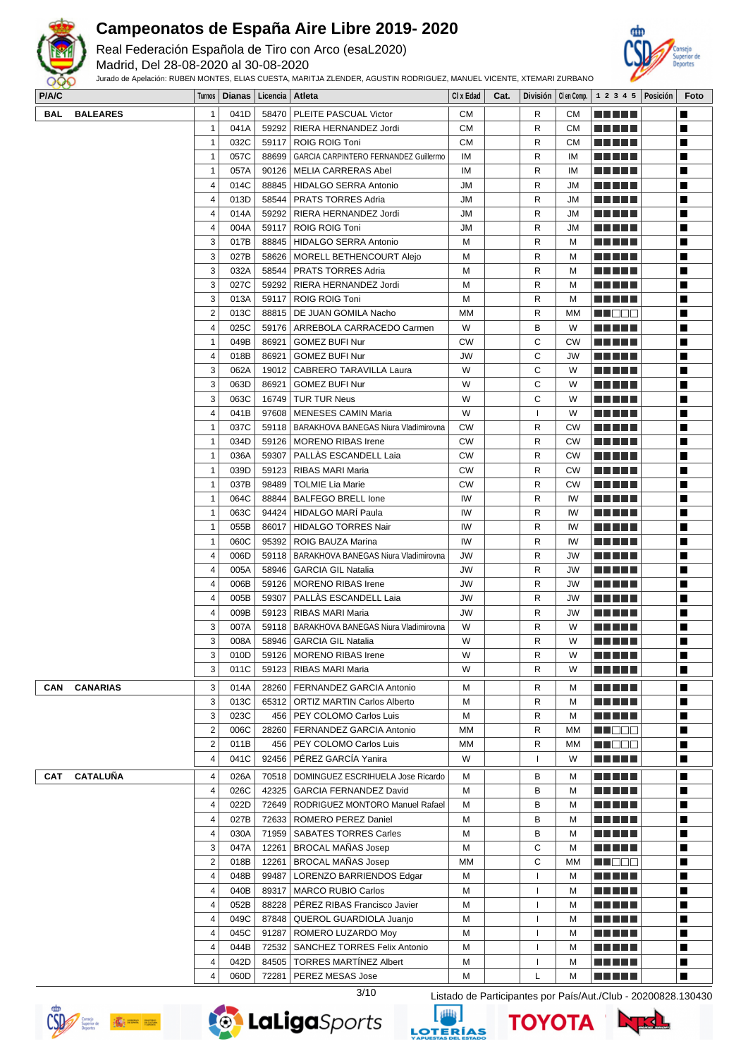

Real Federación Española de Tiro con Arco (esaL2020)

Madrid, Del 28-08-2020 al 30-08-2020



| P/A/C      |                 |                | Turnos   Dianas   Licencia   Atleta |       |                                               | CI x Edad | Cat. |              |           |                            | División   Clen Comp.   1 2 3 4 5   Posición | Foto |
|------------|-----------------|----------------|-------------------------------------|-------|-----------------------------------------------|-----------|------|--------------|-----------|----------------------------|----------------------------------------------|------|
| <b>BAL</b> | <b>BALEARES</b> | $\mathbf{1}$   | 041D                                |       | 58470   PLEITE PASCUAL Victor                 | <b>CM</b> |      | R            | СM        | n din din                  |                                              | П    |
|            |                 | $\mathbf{1}$   | 041A                                |       | 59292   RIERA HERNANDEZ Jordi                 | <b>CM</b> |      | R            | <b>CM</b> | a da bar                   |                                              | П    |
|            |                 | $\mathbf{1}$   | 032C                                |       | 59117   ROIG ROIG Toni                        | СM        |      | R            | <b>CM</b> | <u> El El El E</u>         |                                              | H    |
|            |                 | $\mathbf{1}$   | 057C                                |       | 88699   GARCIA CARPINTERO FERNANDEZ Guillermo | IM        |      | R            | ΙM        |                            |                                              | H    |
|            |                 | $\mathbf{1}$   | 057A                                |       | 90126   MELIA CARRERAS Abel                   | IM        |      | R            | ΙM        | <u> Literatur</u>          |                                              | П    |
|            |                 | 4              | 014C                                |       | 88845   HIDALGO SERRA Antonio                 | JM        |      | R            | JМ        | <u> El Bell</u>            |                                              | Ш    |
|            |                 |                |                                     |       |                                               |           |      |              |           |                            |                                              |      |
|            |                 | 4              | 013D                                |       | 58544   PRATS TORRES Adria                    | JM        |      | R            | JM        | N E HELL                   |                                              | H    |
|            |                 | $\overline{4}$ | 014A                                |       | 59292   RIERA HERNANDEZ Jordi                 | JM        |      | R            | JМ        | <u> El El El E</u>         |                                              | П    |
|            |                 | 4              | 004A                                |       | 59117   ROIG ROIG Toni                        | JM        |      | R            | JM        | <u> Literatur</u>          |                                              | П    |
|            |                 | 3              | 017B                                | 88845 | <b>HIDALGO SERRA Antonio</b>                  | М         |      | R            | м         | a da da                    |                                              | П    |
|            |                 | 3              | 027B                                | 58626 | MORELL BETHENCOURT Alejo                      | M         |      | R            | м         | <u> La La La</u>           |                                              | П    |
|            |                 | 3              | 032A                                | 58544 | PRATS TORRES Adria                            | М         |      | R            | м         | <u> El Bell</u>            |                                              | П    |
|            |                 | 3              | 027C                                | 59292 | RIERA HERNANDEZ Jordi                         | M         |      | R            | м         | <u> Literatur</u>          |                                              | H    |
|            |                 | 3              | 013A                                | 59117 | <b>ROIG ROIG Toni</b>                         | М         |      | R            | м         | <u> Literatur</u>          |                                              | П    |
|            |                 | $\overline{2}$ | 013C                                |       | 88815   DE JUAN GOMILA Nacho                  | МM        |      | R            | мм        | MU O O O                   |                                              | Ш    |
|            |                 | $\overline{4}$ | 025C                                |       | 59176   ARREBOLA CARRACEDO Carmen             | W         |      | в            | W         | <u> Literatur</u>          |                                              | H    |
|            |                 | $\mathbf{1}$   | 049B                                | 86921 | <b>GOMEZ BUFI Nur</b>                         | СW        |      | С            | СW        | <u> Literatur</u>          |                                              | П    |
|            |                 | 4              | 018B                                |       | 86921   GOMEZ BUFI Nur                        | JW        |      | C            | JW        | <u> Literatura de la p</u> |                                              | П    |
|            |                 |                |                                     |       |                                               | W         |      | C            |           |                            |                                              | П    |
|            |                 | 3              | 062A                                |       | 19012   CABRERO TARAVILLA Laura               |           |      |              | W         | <u> El Hel</u>             |                                              |      |
|            |                 | 3              | 063D                                | 86921 | <b>GOMEZ BUFI Nur</b>                         | W         |      | С            | W         | n din bin                  |                                              | П    |
|            |                 | 3              | 063C                                | 16749 | <b>TUR TUR Neus</b>                           | W         |      | С            | W         | <u> El Bell</u>            |                                              | П    |
|            |                 | $\overline{4}$ | 041B                                |       | 97608   MENESES CAMIN Maria                   | W         |      | $\mathbf{I}$ | W         | <u> Literatur</u>          |                                              | H    |
|            |                 | $\mathbf{1}$   | 037C                                |       | 59118   BARAKHOVA BANEGAS Niura Vladimirovna  | CW        |      | R            | CW        |                            |                                              | П    |
|            |                 | $\mathbf{1}$   | 034D                                |       | 59126   MORENO RIBAS Irene                    | СW        |      | R            | <b>CW</b> | <u> El Bell</u>            |                                              | Ш    |
|            |                 | $\mathbf{1}$   | 036A                                |       | 59307   PALLAS ESCANDELL Laia                 | СW        |      | R            | CW        | <u> Literatur</u>          |                                              | H    |
|            |                 | $\mathbf{1}$   | 039D                                | 59123 | RIBAS MARI Maria                              | СW        |      | R            | СW        | <u> El El El E</u>         |                                              | П    |
|            |                 | $\mathbf{1}$   | 037B                                | 98489 | <b>TOLMIE Lia Marie</b>                       | <b>CW</b> |      | R            | СW        | <u> El Bell</u>            |                                              | П    |
|            |                 | $\mathbf{1}$   | 064C                                | 88844 | <b>BALFEGO BRELL lone</b>                     | IW        |      | R            | IW        | <u> La La La</u>           |                                              | П    |
|            |                 | $\mathbf{1}$   | 063C                                | 94424 | <b>HIDALGO MARÍ Paula</b>                     | IW        |      | R            | IW        | <u> La La La</u>           |                                              | П    |
|            |                 |                |                                     |       |                                               |           |      |              |           |                            |                                              |      |
|            |                 | $\mathbf{1}$   | 055B                                | 86017 | <b>HIDALGO TORRES Nair</b>                    | IW        |      | R            | IW        | <u> El Bell</u>            |                                              | П    |
|            |                 | $\mathbf{1}$   | 060C                                | 95392 | ROIG BAUZA Marina                             | IW        |      | R            | IW        | <u> El Bell</u>            |                                              | H    |
|            |                 | 4              | 006D                                | 59118 | BARAKHOVA BANEGAS Niura Vladimirovna          | JW        |      | R            | JW        | <u> Literatur</u>          |                                              | Ш    |
|            |                 | 4              | 005A                                | 58946 | <b>GARCIA GIL Natalia</b>                     | JW        |      | R            | JW        | <u> El Bell</u>            |                                              | П    |
|            |                 | 4              | 006B                                |       | 59126   MORENO RIBAS Irene                    | JW        |      | R            | JW        | MA MATA                    |                                              | H    |
|            |                 | 4              | 005B                                |       | 59307   PALLAS ESCANDELL Laia                 | JW        |      | R            | JW        | <u> Literatur</u>          |                                              | П    |
|            |                 | 4              | 009B                                |       | 59123   RIBAS MARI Maria                      | JW        |      | R            | JW        | MA MATA                    |                                              | Ш    |
|            |                 | 3              | 007A                                |       | 59118   BARAKHOVA BANEGAS Niura Vladimirovna  | W         |      | R            | W         | <u> La La La</u>           |                                              | П    |
|            |                 | 3              | 008A                                |       | 58946   GARCIA GIL Natalia                    | W         |      | R            | W         | <u> Literatur</u>          |                                              | П    |
|            |                 | 3              | 010D                                |       | 59126   MORENO RIBAS Irene                    | W         |      | R            | W         | ME NE S                    |                                              | П    |
|            |                 | 3              | 011C                                |       | 59123   RIBAS MARI Maria                      | W         |      | R            | W         | M M M M M                  |                                              | П    |
|            |                 |                |                                     |       |                                               |           |      |              |           |                            |                                              |      |
| CAN        | <b>CANARIAS</b> | 3              | 014A                                |       | 28260   FERNANDEZ GARCIA Antonio              | м         |      | R            | м         |                            |                                              | П    |
|            |                 | 3              | 013C                                |       | 65312   ORTIZ MARTIN Carlos Alberto           | М         |      | R            | M         | <u> El Hel</u>             |                                              | П    |
|            |                 | 3              | 023C                                |       | 456   PEY COLOMO Carlos Luis                  | М         |      | R            | м         | a da da                    |                                              | П    |
|            |                 | $\overline{2}$ | 006C                                | 28260 | FERNANDEZ GARCIA Antonio                      | МM        |      | R            | МM        | MUODO.                     |                                              | П    |
|            |                 | $\overline{2}$ | 011B                                |       | 456   PEY COLOMO Carlos Luis                  | МM        |      | R            | мм        | MN OO O                    |                                              | H    |
|            |                 | 4              | 041C                                | 92456 | PÉREZ GARCÍA Yanira                           | W         |      | $\mathbf{I}$ | W         | <u> Literatur</u>          |                                              | Ш    |
|            |                 |                |                                     |       |                                               |           |      |              |           |                            |                                              |      |
| CAT        | <b>CATALUÑA</b> | 4              | 026A                                | 70518 | DOMINGUEZ ESCRIHUELA Jose Ricardo             | М         |      | в            | м         | MAN HIT                    |                                              | П    |
|            |                 | 4              | 026C                                | 42325 | GARCIA FERNANDEZ David                        | М         |      | в            | м         | MAN HIT                    |                                              | П    |
|            |                 | 4              | 022D                                |       | 72649   RODRIGUEZ MONTORO Manuel Rafael       | М         |      | в            | м         | <u> Literatur</u>          |                                              | H    |
|            |                 | 4              | 027B                                | 72633 | ROMERO PEREZ Daniel                           | М         |      | в            | M         | <u> Literatur</u>          |                                              | П    |
|            |                 | 4              | 030A                                |       | 71959   SABATES TORRES Carles                 | М         |      | в            | м         | <u> Literatura de la </u>  |                                              | Ш    |
|            |                 | 3              | 047A                                | 12261 | <b>BROCAL MANAS Josep</b>                     | М         |      | С            | м         | <u> Literatur</u>          |                                              | H    |
|            |                 | $\overline{2}$ | 018B                                | 12261 | <b>BROCAL MANAS Josep</b>                     | <b>MM</b> |      | С            | МM        | <u>HI OO J</u>             |                                              | H    |
|            |                 | 4              | 048B                                |       | 99487   LORENZO BARRIENDOS Edgar              | М         |      | ı            | м         | <u> Literatura de la p</u> |                                              | П    |
|            |                 | 4              | 040B                                |       | 89317   MARCO RUBIO Carlos                    | М         |      | ı            | м         | <u> La La La</u>           |                                              | П    |
|            |                 | 4              | 052B                                |       | 88228   PÉREZ RIBAS Francisco Javier          | М         |      | ı            | M         | a di kacamatan Ing         |                                              | П    |
|            |                 | 4              | 049C                                |       | 87848   QUEROL GUARDIOLA Juanjo               | М         |      | $\mathbf{I}$ | м         | <u> El El El E</u>         |                                              | П    |
|            |                 |                |                                     |       |                                               |           |      |              |           |                            |                                              |      |
|            |                 | 4              | 045C                                |       | 91287   ROMERO LUZARDO Moy                    | М         |      | ı            | м         | <u> Literatur</u>          |                                              | H    |
|            |                 | 4              | 044B                                |       | 72532   SANCHEZ TORRES Felix Antonio          | м         |      | L            | м         |                            |                                              | Ш    |
|            |                 | 4              | 042D                                | 84505 | <b>TORRES MARTINEZ Albert</b>                 | М         |      | $\mathbf{I}$ | M         |                            |                                              | п    |
|            |                 | 4              | 060D                                | 72281 | PEREZ MESAS Jose                              | М         |      | L            | M         | <u> 2000 - 200</u>         |                                              | П    |







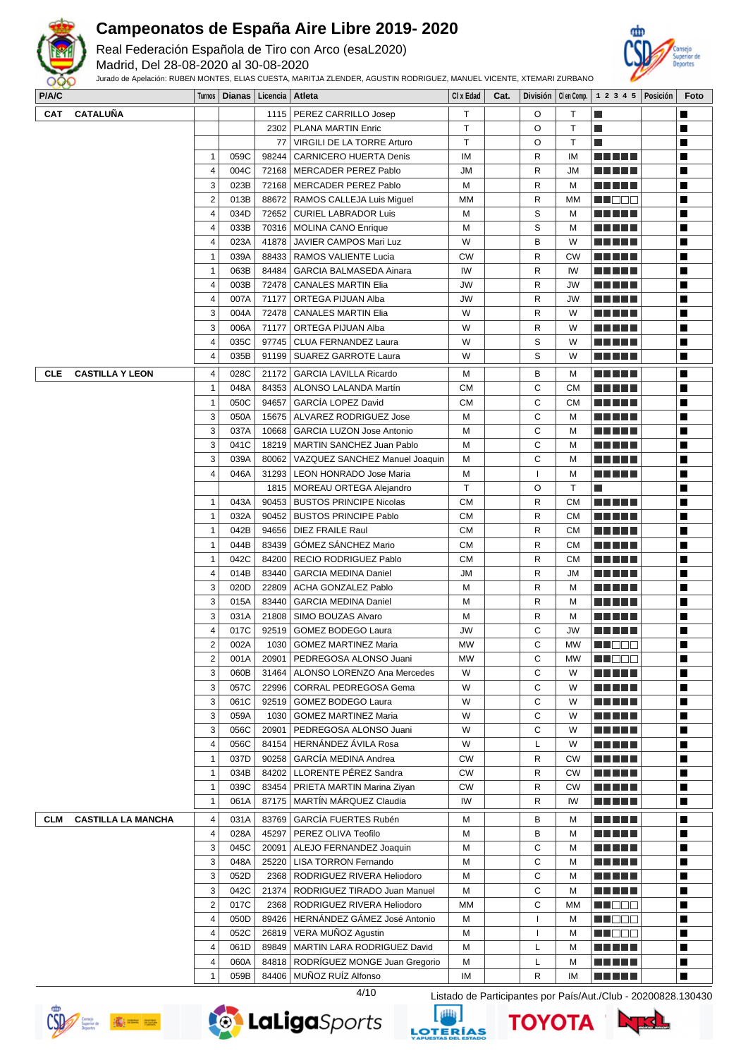

Real Federación Española de Tiro con Arco (esaL2020)

Madrid, Del 28-08-2020 al 30-08-2020

Jurado de Apelación: RUBEN MONTES, ELIAS CUESTA, MARITJA ZLENDER, AGUSTIN RODRIGUEZ, MANUEL VICENTE, XTEMARI ZURBANO



| <b>CATALUÑA</b><br>PEREZ CARRILLO Josep<br>T.<br>П<br>CAT<br>1115<br>O<br>Τ<br>L.<br>T.<br>$\mathsf T$<br>O<br>T.<br>П<br>2302<br><b>PLANA MARTIN Enric</b><br>77<br>T.<br>VIRGILI DE LA TORRE Arturo<br>O<br>Τ<br>l.<br>Ш<br>$\mathbf{1}$<br>059C<br>98244<br>CARNICERO HUERTA Denis<br>IM<br>R<br>П<br>ΙM<br><u> Literatur</u><br>$\overline{\mathbf{4}}$<br>П<br>004C<br>72168<br><b>MERCADER PEREZ Pablo</b><br>JM<br>R<br><u> Literatur</u><br>JM<br>3<br>023B<br>72168<br>П<br>  MERCADER PEREZ Pablo<br>M<br>R<br><u> Literatur</u><br>M<br>$\overline{2}$<br>П<br>R<br>013B<br>88672<br>RAMOS CALLEJA Luis Miguel<br>МM<br>МM<br>W O O O<br>$\overline{4}$<br>034D<br>72652<br>S<br><b>CURIEL LABRADOR Luis</b><br>M<br>M<br>П<br>S<br>П<br>$\overline{4}$<br>033B<br><b>MOLINA CANO Enrique</b><br>M<br>n di Tinggi<br>70316<br>M<br>$\overline{\mathbf{4}}$<br>П<br>023A<br>W<br>B<br>41878<br>JAVIER CAMPOS Mari Luz<br>W<br>ma matsa<br>$\mathbf{1}$<br>039A<br>RAMOS VALIENTE Lucia<br>R<br>П<br>88433<br><b>CW</b><br><b>CW</b><br><u> El Berto de la </u><br>$\mathbf{1}$<br>IW<br>R<br>063B<br>84484<br><b>GARCIA BALMASEDA Ainara</b><br>IW<br>П<br><u> Literatur</u><br><b>CANALES MARTIN Elia</b><br>П<br>4<br>003B<br>72478<br>JW<br>R<br>JW<br><u> Literatura de la p</u><br>$\overline{\mathbf{4}}$<br>R<br>П<br>007A<br>71177<br>ORTEGA PIJUAN Alba<br>JW<br>JW<br>N E HELL<br>3<br>П<br>004A<br>72478<br><b>CANALES MARTIN Elia</b><br>W<br>R<br>W<br><u> Literatur</u><br>3<br>W<br>R<br>006A<br>71177<br>ORTEGA PIJUAN Alba<br>W<br>П<br>S<br>035C<br>П<br>4<br>97745<br>CLUA FERNANDEZ Laura<br>W<br>W<br><u> Literatur</u><br>$\overline{\mathbf{4}}$<br>S<br>П<br>035B<br>91199<br>W<br><b>SUAREZ GARROTE Laura</b><br>W<br><u> Literatur</u><br>$\sqrt{4}$<br>П<br>B<br><b>CLE</b><br><b>CASTILLA Y LEON</b><br>028C<br>21172<br><b>GARCIA LAVILLA Ricardo</b><br>M<br>MA MARIT<br>м<br>C<br>$\mathbf{1}$<br>048A<br>ALONSO LALANDA Martín<br>СM<br>П<br>84353<br>СM<br>$\mathbf{1}$<br>C<br>050C<br>94657<br>GARCÍA LOPEZ David<br><b>CM</b><br>СM<br>П<br><u> Literatur</u><br>C<br>3<br>M<br>050A<br>15675<br>ALVAREZ RODRIGUEZ Jose<br>M<br>П<br>3<br>C<br>П<br><u> La Barta</u><br>037A<br>10668<br><b>GARCIA LUZON Jose Antonio</b><br>M<br>M<br>3<br>041C<br>MARTIN SANCHEZ Juan Pablo<br>С<br>П<br>18219<br>M<br><u> Literatur</u><br>M<br>C<br>3<br>M<br>039A<br>80062<br>VAZQUEZ SANCHEZ Manuel Joaquin<br>M<br>П<br><u> Liberal Maria II</u><br>$\overline{4}$<br>046A<br>31293<br><b>LEON HONRADO Jose Maria</b><br>м<br>$\mathbf{I}$<br>M<br><u> Literatur</u><br>П<br>MOREAU ORTEGA Alejandro<br>T<br>O<br>$\mathsf{T}$<br>П<br>1815<br>l.<br>R<br>П<br>$\mathbf{1}$<br>043A<br>90453<br><b>BUSTOS PRINCIPE Nicolas</b><br>СM<br>CМ<br><u> Literatur</u><br>$\mathbf{1}$<br>032A<br>R<br><b>CM</b><br>90452<br><b>BUSTOS PRINCIPE Pablo</b><br>СM<br>П<br><u> Literatur</u><br>$\mathbf{1}$<br>042B<br>94656<br><b>DIEZ FRAILE Raul</b><br><b>CM</b><br>R<br>СM<br>П<br>.<br>GÓMEZ SÁNCHEZ Mario<br>$\mathbf{1}$<br>83439<br>a di seb<br>П<br>044B<br><b>CM</b><br>R<br>CМ<br>$\mathbf{1}$<br>П<br><b>RECIO RODRIGUEZ Pablo</b><br>R<br>M S S S S<br>042C<br>84200<br>СM<br>СM<br>$\overline{4}$<br>R<br>П<br>014B<br>83440<br><b>GARCIA MEDINA Daniel</b><br><u> La Barta</u><br>JM<br>JM<br>3<br><b>ACHA GONZALEZ Pablo</b><br>M<br>R<br>020D<br>22809<br>M<br>П<br><u> Literatura de la </u><br>3<br>015A<br><b>GARCIA MEDINA Daniel</b><br>R<br>П<br>83440<br>M<br>M<br><u> Literatur</u><br>3<br>SIMO BOUZAS Alvaro<br>П<br>031A<br>21808<br>M<br>R<br>M<br><u> Literatur</u><br>$\overline{4}$<br>GOMEZ BODEGO Laura<br>С<br>JW<br>017C<br>92519<br>JW<br>П<br>$\overline{2}$<br>C<br>002A<br>1030<br><b>GOMEZ MARTINEZ Maria</b><br>MW<br>MW<br>MA DEL<br>П<br>П<br>$\overline{c}$<br>PEDREGOSA ALONSO Juani<br>С<br>001A<br>20901<br><b>MW</b><br>MW<br><u>Li Bee</u><br>3<br>060B<br>31464<br>ALONSO LORENZO Ana Mercedes<br>W<br>C<br>П<br>W<br>3<br>W<br>C<br>057C<br>22996<br>CORRAL PEDREGOSA Gema<br>П<br>W<br><u> El Bertin</u><br>3<br>C<br>061C<br>92519<br><b>GOMEZ BODEGO Laura</b><br>W<br>П<br>W<br><u> El El El </u><br>3<br>C<br>059A<br>1030<br><b>GOMEZ MARTINEZ Maria</b><br>W<br>П<br>W<br><u> Literatura de la </u><br>3<br>PEDREGOSA ALONSO Juani<br>C<br>056C<br>20901<br>W<br>П<br>W<br><u> Literatur</u><br>HERNÁNDEZ ÁVILA Rosa<br>4<br>056C<br>84154<br>W<br>L<br>W<br>П<br>$\mathbf{1}$<br>GARCÍA MEDINA Andrea<br>037D<br>90258<br><b>CW</b><br>R<br><b>CW</b><br>П<br>MA MARIT<br>LLORENTE PÉREZ Sandra<br>$\mathbf{1}$<br>84202<br>R<br>П<br>034B<br><b>CW</b><br><b>CW</b><br><u> Literatur</u><br>$\mathbf{1}$<br>039C<br>83454<br>PRIETA MARTIN Marina Ziyan<br>R<br>П<br>СW<br><b>CW</b><br>MARTÍN MÁRQUEZ Claudia<br>$\mathbf{1}$<br>87175<br>061A<br>IW<br>R<br>П<br>IW<br><u> Listo Lit</u><br>GARCÍA FUERTES Rubén<br><b>CASTILLA LA MANCHA</b><br>$\overline{4}$<br>83769<br>B<br>П<br>CLM<br>031A<br>M<br>M<br><u> Literatur</u><br>4<br>028A<br>45297<br>PEREZ OLIVA Teofilo<br>B<br>M<br>П<br>M<br><u> Literatur</u><br>3<br>C<br>045C<br>20091<br>ALEJO FERNANDEZ Joaquin<br>M<br>M<br>П<br>3<br>25220<br>C<br>048A<br><b>LISA TORRON Fernando</b><br>M<br>П<br>M<br><u> Literatur</u><br>3<br>C<br>П<br>052D<br>RODRIGUEZ RIVERA Heliodoro<br>M<br><u> El El El E</u><br>2368<br>M<br>3<br>C<br>042C<br>21374<br>RODRIGUEZ TIRADO Juan Manuel<br>П<br>M<br>M<br>ma matsa<br>C<br>$\overline{2}$<br>017C<br>RODRIGUEZ RIVERA Heliodoro<br>2368<br>МM<br>МM<br>N N D D D<br>П<br>HERNÁNDEZ GÁMEZ José Antonio<br>4<br>89426<br>M<br>П<br>050D<br>M<br>M BEE<br>VERA MUÑOZ Agustin<br>052C<br>26819<br>M NO DO<br>П<br>4<br>M<br>M<br>H<br>$\overline{4}$<br>MARTIN LARA RODRIGUEZ David<br>061D<br>89849<br>M<br>П<br>L<br>M<br>4<br>060A<br>84818<br>RODRÍGUEZ MONGE Juan Gregorio<br>M<br>M<br>$\blacksquare$<br>L<br>$\mathbf{1}$<br>84406   MUÑOZ RUÍZ Alfonso<br>П<br>059B<br>ΙM<br>R<br>IM<br><u> Literatur</u><br>4/10<br>Listado de Participantes por País/Aut./Club - 20200828.130430 | P/A/C |  | Turnos   Dianas   Licencia | ∣ Atleta | CI x Edad | Cat. | División   Clen Comp. | $12345$ Posición | Foto |
|----------------------------------------------------------------------------------------------------------------------------------------------------------------------------------------------------------------------------------------------------------------------------------------------------------------------------------------------------------------------------------------------------------------------------------------------------------------------------------------------------------------------------------------------------------------------------------------------------------------------------------------------------------------------------------------------------------------------------------------------------------------------------------------------------------------------------------------------------------------------------------------------------------------------------------------------------------------------------------------------------------------------------------------------------------------------------------------------------------------------------------------------------------------------------------------------------------------------------------------------------------------------------------------------------------------------------------------------------------------------------------------------------------------------------------------------------------------------------------------------------------------------------------------------------------------------------------------------------------------------------------------------------------------------------------------------------------------------------------------------------------------------------------------------------------------------------------------------------------------------------------------------------------------------------------------------------------------------------------------------------------------------------------------------------------------------------------------------------------------------------------------------------------------------------------------------------------------------------------------------------------------------------------------------------------------------------------------------------------------------------------------------------------------------------------------------------------------------------------------------------------------------------------------------------------------------------------------------------------------------------------------------------------------------------------------------------------------------------------------------------------------------------------------------------------------------------------------------------------------------------------------------------------------------------------------------------------------------------------------------------------------------------------------------------------------------------------------------------------------------------------------------------------------------------------------------------------------------------------------------------------------------------------------------------------------------------------------------------------------------------------------------------------------------------------------------------------------------------------------------------------------------------------------------------------------------------------------------------------------------------------------------------------------------------------------------------------------------------------------------------------------------------------------------------------------------------------------------------------------------------------------------------------------------------------------------------------------------------------------------------------------------------------------------------------------------------------------------------------------------------------------------------------------------------------------------------------------------------------------------------------------------------------------------------------------------------------------------------------------------------------------------------------------------------------------------------------------------------------------------------------------------------------------------------------------------------------------------------------------------------------------------------------------------------------------------------------------------------------------------------------------------------------------------------------------------------------------------------------------------------------------------------------------------------------------------------------------------------------------------------------------------------------------------------------------------------------------------------------------------------------------------------------------------------------------------------------------------------------------------------------------------------------------------------------------------------------------------------------------------------------------------------------------------------------------------------------------------------------------------------------------------------------------------------------------------------------------------------------------------------------------------------------------------------------------------------------------------------------------------------------------------------------------------------------------------------------------------------------------------------------------------------------------------------------------------------------------------------------------------------------------------------------------------------------------------------------------------|-------|--|----------------------------|----------|-----------|------|-----------------------|------------------|------|
|                                                                                                                                                                                                                                                                                                                                                                                                                                                                                                                                                                                                                                                                                                                                                                                                                                                                                                                                                                                                                                                                                                                                                                                                                                                                                                                                                                                                                                                                                                                                                                                                                                                                                                                                                                                                                                                                                                                                                                                                                                                                                                                                                                                                                                                                                                                                                                                                                                                                                                                                                                                                                                                                                                                                                                                                                                                                                                                                                                                                                                                                                                                                                                                                                                                                                                                                                                                                                                                                                                                                                                                                                                                                                                                                                                                                                                                                                                                                                                                                                                                                                                                                                                                                                                                                                                                                                                                                                                                                                                                                                                                                                                                                                                                                                                                                                                                                                                                                                                                                                                                                                                                                                                                                                                                                                                                                                                                                                                                                                                                                                                                                                                                                                                                                                                                                                                                                                                                                                                                                                                                                                              |       |  |                            |          |           |      |                       |                  |      |
|                                                                                                                                                                                                                                                                                                                                                                                                                                                                                                                                                                                                                                                                                                                                                                                                                                                                                                                                                                                                                                                                                                                                                                                                                                                                                                                                                                                                                                                                                                                                                                                                                                                                                                                                                                                                                                                                                                                                                                                                                                                                                                                                                                                                                                                                                                                                                                                                                                                                                                                                                                                                                                                                                                                                                                                                                                                                                                                                                                                                                                                                                                                                                                                                                                                                                                                                                                                                                                                                                                                                                                                                                                                                                                                                                                                                                                                                                                                                                                                                                                                                                                                                                                                                                                                                                                                                                                                                                                                                                                                                                                                                                                                                                                                                                                                                                                                                                                                                                                                                                                                                                                                                                                                                                                                                                                                                                                                                                                                                                                                                                                                                                                                                                                                                                                                                                                                                                                                                                                                                                                                                                              |       |  |                            |          |           |      |                       |                  |      |
|                                                                                                                                                                                                                                                                                                                                                                                                                                                                                                                                                                                                                                                                                                                                                                                                                                                                                                                                                                                                                                                                                                                                                                                                                                                                                                                                                                                                                                                                                                                                                                                                                                                                                                                                                                                                                                                                                                                                                                                                                                                                                                                                                                                                                                                                                                                                                                                                                                                                                                                                                                                                                                                                                                                                                                                                                                                                                                                                                                                                                                                                                                                                                                                                                                                                                                                                                                                                                                                                                                                                                                                                                                                                                                                                                                                                                                                                                                                                                                                                                                                                                                                                                                                                                                                                                                                                                                                                                                                                                                                                                                                                                                                                                                                                                                                                                                                                                                                                                                                                                                                                                                                                                                                                                                                                                                                                                                                                                                                                                                                                                                                                                                                                                                                                                                                                                                                                                                                                                                                                                                                                                              |       |  |                            |          |           |      |                       |                  |      |
|                                                                                                                                                                                                                                                                                                                                                                                                                                                                                                                                                                                                                                                                                                                                                                                                                                                                                                                                                                                                                                                                                                                                                                                                                                                                                                                                                                                                                                                                                                                                                                                                                                                                                                                                                                                                                                                                                                                                                                                                                                                                                                                                                                                                                                                                                                                                                                                                                                                                                                                                                                                                                                                                                                                                                                                                                                                                                                                                                                                                                                                                                                                                                                                                                                                                                                                                                                                                                                                                                                                                                                                                                                                                                                                                                                                                                                                                                                                                                                                                                                                                                                                                                                                                                                                                                                                                                                                                                                                                                                                                                                                                                                                                                                                                                                                                                                                                                                                                                                                                                                                                                                                                                                                                                                                                                                                                                                                                                                                                                                                                                                                                                                                                                                                                                                                                                                                                                                                                                                                                                                                                                              |       |  |                            |          |           |      |                       |                  |      |
|                                                                                                                                                                                                                                                                                                                                                                                                                                                                                                                                                                                                                                                                                                                                                                                                                                                                                                                                                                                                                                                                                                                                                                                                                                                                                                                                                                                                                                                                                                                                                                                                                                                                                                                                                                                                                                                                                                                                                                                                                                                                                                                                                                                                                                                                                                                                                                                                                                                                                                                                                                                                                                                                                                                                                                                                                                                                                                                                                                                                                                                                                                                                                                                                                                                                                                                                                                                                                                                                                                                                                                                                                                                                                                                                                                                                                                                                                                                                                                                                                                                                                                                                                                                                                                                                                                                                                                                                                                                                                                                                                                                                                                                                                                                                                                                                                                                                                                                                                                                                                                                                                                                                                                                                                                                                                                                                                                                                                                                                                                                                                                                                                                                                                                                                                                                                                                                                                                                                                                                                                                                                                              |       |  |                            |          |           |      |                       |                  |      |
|                                                                                                                                                                                                                                                                                                                                                                                                                                                                                                                                                                                                                                                                                                                                                                                                                                                                                                                                                                                                                                                                                                                                                                                                                                                                                                                                                                                                                                                                                                                                                                                                                                                                                                                                                                                                                                                                                                                                                                                                                                                                                                                                                                                                                                                                                                                                                                                                                                                                                                                                                                                                                                                                                                                                                                                                                                                                                                                                                                                                                                                                                                                                                                                                                                                                                                                                                                                                                                                                                                                                                                                                                                                                                                                                                                                                                                                                                                                                                                                                                                                                                                                                                                                                                                                                                                                                                                                                                                                                                                                                                                                                                                                                                                                                                                                                                                                                                                                                                                                                                                                                                                                                                                                                                                                                                                                                                                                                                                                                                                                                                                                                                                                                                                                                                                                                                                                                                                                                                                                                                                                                                              |       |  |                            |          |           |      |                       |                  |      |
|                                                                                                                                                                                                                                                                                                                                                                                                                                                                                                                                                                                                                                                                                                                                                                                                                                                                                                                                                                                                                                                                                                                                                                                                                                                                                                                                                                                                                                                                                                                                                                                                                                                                                                                                                                                                                                                                                                                                                                                                                                                                                                                                                                                                                                                                                                                                                                                                                                                                                                                                                                                                                                                                                                                                                                                                                                                                                                                                                                                                                                                                                                                                                                                                                                                                                                                                                                                                                                                                                                                                                                                                                                                                                                                                                                                                                                                                                                                                                                                                                                                                                                                                                                                                                                                                                                                                                                                                                                                                                                                                                                                                                                                                                                                                                                                                                                                                                                                                                                                                                                                                                                                                                                                                                                                                                                                                                                                                                                                                                                                                                                                                                                                                                                                                                                                                                                                                                                                                                                                                                                                                                              |       |  |                            |          |           |      |                       |                  |      |
|                                                                                                                                                                                                                                                                                                                                                                                                                                                                                                                                                                                                                                                                                                                                                                                                                                                                                                                                                                                                                                                                                                                                                                                                                                                                                                                                                                                                                                                                                                                                                                                                                                                                                                                                                                                                                                                                                                                                                                                                                                                                                                                                                                                                                                                                                                                                                                                                                                                                                                                                                                                                                                                                                                                                                                                                                                                                                                                                                                                                                                                                                                                                                                                                                                                                                                                                                                                                                                                                                                                                                                                                                                                                                                                                                                                                                                                                                                                                                                                                                                                                                                                                                                                                                                                                                                                                                                                                                                                                                                                                                                                                                                                                                                                                                                                                                                                                                                                                                                                                                                                                                                                                                                                                                                                                                                                                                                                                                                                                                                                                                                                                                                                                                                                                                                                                                                                                                                                                                                                                                                                                                              |       |  |                            |          |           |      |                       |                  |      |
|                                                                                                                                                                                                                                                                                                                                                                                                                                                                                                                                                                                                                                                                                                                                                                                                                                                                                                                                                                                                                                                                                                                                                                                                                                                                                                                                                                                                                                                                                                                                                                                                                                                                                                                                                                                                                                                                                                                                                                                                                                                                                                                                                                                                                                                                                                                                                                                                                                                                                                                                                                                                                                                                                                                                                                                                                                                                                                                                                                                                                                                                                                                                                                                                                                                                                                                                                                                                                                                                                                                                                                                                                                                                                                                                                                                                                                                                                                                                                                                                                                                                                                                                                                                                                                                                                                                                                                                                                                                                                                                                                                                                                                                                                                                                                                                                                                                                                                                                                                                                                                                                                                                                                                                                                                                                                                                                                                                                                                                                                                                                                                                                                                                                                                                                                                                                                                                                                                                                                                                                                                                                                              |       |  |                            |          |           |      |                       |                  |      |
|                                                                                                                                                                                                                                                                                                                                                                                                                                                                                                                                                                                                                                                                                                                                                                                                                                                                                                                                                                                                                                                                                                                                                                                                                                                                                                                                                                                                                                                                                                                                                                                                                                                                                                                                                                                                                                                                                                                                                                                                                                                                                                                                                                                                                                                                                                                                                                                                                                                                                                                                                                                                                                                                                                                                                                                                                                                                                                                                                                                                                                                                                                                                                                                                                                                                                                                                                                                                                                                                                                                                                                                                                                                                                                                                                                                                                                                                                                                                                                                                                                                                                                                                                                                                                                                                                                                                                                                                                                                                                                                                                                                                                                                                                                                                                                                                                                                                                                                                                                                                                                                                                                                                                                                                                                                                                                                                                                                                                                                                                                                                                                                                                                                                                                                                                                                                                                                                                                                                                                                                                                                                                              |       |  |                            |          |           |      |                       |                  |      |
|                                                                                                                                                                                                                                                                                                                                                                                                                                                                                                                                                                                                                                                                                                                                                                                                                                                                                                                                                                                                                                                                                                                                                                                                                                                                                                                                                                                                                                                                                                                                                                                                                                                                                                                                                                                                                                                                                                                                                                                                                                                                                                                                                                                                                                                                                                                                                                                                                                                                                                                                                                                                                                                                                                                                                                                                                                                                                                                                                                                                                                                                                                                                                                                                                                                                                                                                                                                                                                                                                                                                                                                                                                                                                                                                                                                                                                                                                                                                                                                                                                                                                                                                                                                                                                                                                                                                                                                                                                                                                                                                                                                                                                                                                                                                                                                                                                                                                                                                                                                                                                                                                                                                                                                                                                                                                                                                                                                                                                                                                                                                                                                                                                                                                                                                                                                                                                                                                                                                                                                                                                                                                              |       |  |                            |          |           |      |                       |                  |      |
|                                                                                                                                                                                                                                                                                                                                                                                                                                                                                                                                                                                                                                                                                                                                                                                                                                                                                                                                                                                                                                                                                                                                                                                                                                                                                                                                                                                                                                                                                                                                                                                                                                                                                                                                                                                                                                                                                                                                                                                                                                                                                                                                                                                                                                                                                                                                                                                                                                                                                                                                                                                                                                                                                                                                                                                                                                                                                                                                                                                                                                                                                                                                                                                                                                                                                                                                                                                                                                                                                                                                                                                                                                                                                                                                                                                                                                                                                                                                                                                                                                                                                                                                                                                                                                                                                                                                                                                                                                                                                                                                                                                                                                                                                                                                                                                                                                                                                                                                                                                                                                                                                                                                                                                                                                                                                                                                                                                                                                                                                                                                                                                                                                                                                                                                                                                                                                                                                                                                                                                                                                                                                              |       |  |                            |          |           |      |                       |                  |      |
|                                                                                                                                                                                                                                                                                                                                                                                                                                                                                                                                                                                                                                                                                                                                                                                                                                                                                                                                                                                                                                                                                                                                                                                                                                                                                                                                                                                                                                                                                                                                                                                                                                                                                                                                                                                                                                                                                                                                                                                                                                                                                                                                                                                                                                                                                                                                                                                                                                                                                                                                                                                                                                                                                                                                                                                                                                                                                                                                                                                                                                                                                                                                                                                                                                                                                                                                                                                                                                                                                                                                                                                                                                                                                                                                                                                                                                                                                                                                                                                                                                                                                                                                                                                                                                                                                                                                                                                                                                                                                                                                                                                                                                                                                                                                                                                                                                                                                                                                                                                                                                                                                                                                                                                                                                                                                                                                                                                                                                                                                                                                                                                                                                                                                                                                                                                                                                                                                                                                                                                                                                                                                              |       |  |                            |          |           |      |                       |                  |      |
|                                                                                                                                                                                                                                                                                                                                                                                                                                                                                                                                                                                                                                                                                                                                                                                                                                                                                                                                                                                                                                                                                                                                                                                                                                                                                                                                                                                                                                                                                                                                                                                                                                                                                                                                                                                                                                                                                                                                                                                                                                                                                                                                                                                                                                                                                                                                                                                                                                                                                                                                                                                                                                                                                                                                                                                                                                                                                                                                                                                                                                                                                                                                                                                                                                                                                                                                                                                                                                                                                                                                                                                                                                                                                                                                                                                                                                                                                                                                                                                                                                                                                                                                                                                                                                                                                                                                                                                                                                                                                                                                                                                                                                                                                                                                                                                                                                                                                                                                                                                                                                                                                                                                                                                                                                                                                                                                                                                                                                                                                                                                                                                                                                                                                                                                                                                                                                                                                                                                                                                                                                                                                              |       |  |                            |          |           |      |                       |                  |      |
|                                                                                                                                                                                                                                                                                                                                                                                                                                                                                                                                                                                                                                                                                                                                                                                                                                                                                                                                                                                                                                                                                                                                                                                                                                                                                                                                                                                                                                                                                                                                                                                                                                                                                                                                                                                                                                                                                                                                                                                                                                                                                                                                                                                                                                                                                                                                                                                                                                                                                                                                                                                                                                                                                                                                                                                                                                                                                                                                                                                                                                                                                                                                                                                                                                                                                                                                                                                                                                                                                                                                                                                                                                                                                                                                                                                                                                                                                                                                                                                                                                                                                                                                                                                                                                                                                                                                                                                                                                                                                                                                                                                                                                                                                                                                                                                                                                                                                                                                                                                                                                                                                                                                                                                                                                                                                                                                                                                                                                                                                                                                                                                                                                                                                                                                                                                                                                                                                                                                                                                                                                                                                              |       |  |                            |          |           |      |                       |                  |      |
|                                                                                                                                                                                                                                                                                                                                                                                                                                                                                                                                                                                                                                                                                                                                                                                                                                                                                                                                                                                                                                                                                                                                                                                                                                                                                                                                                                                                                                                                                                                                                                                                                                                                                                                                                                                                                                                                                                                                                                                                                                                                                                                                                                                                                                                                                                                                                                                                                                                                                                                                                                                                                                                                                                                                                                                                                                                                                                                                                                                                                                                                                                                                                                                                                                                                                                                                                                                                                                                                                                                                                                                                                                                                                                                                                                                                                                                                                                                                                                                                                                                                                                                                                                                                                                                                                                                                                                                                                                                                                                                                                                                                                                                                                                                                                                                                                                                                                                                                                                                                                                                                                                                                                                                                                                                                                                                                                                                                                                                                                                                                                                                                                                                                                                                                                                                                                                                                                                                                                                                                                                                                                              |       |  |                            |          |           |      |                       |                  |      |
|                                                                                                                                                                                                                                                                                                                                                                                                                                                                                                                                                                                                                                                                                                                                                                                                                                                                                                                                                                                                                                                                                                                                                                                                                                                                                                                                                                                                                                                                                                                                                                                                                                                                                                                                                                                                                                                                                                                                                                                                                                                                                                                                                                                                                                                                                                                                                                                                                                                                                                                                                                                                                                                                                                                                                                                                                                                                                                                                                                                                                                                                                                                                                                                                                                                                                                                                                                                                                                                                                                                                                                                                                                                                                                                                                                                                                                                                                                                                                                                                                                                                                                                                                                                                                                                                                                                                                                                                                                                                                                                                                                                                                                                                                                                                                                                                                                                                                                                                                                                                                                                                                                                                                                                                                                                                                                                                                                                                                                                                                                                                                                                                                                                                                                                                                                                                                                                                                                                                                                                                                                                                                              |       |  |                            |          |           |      |                       |                  |      |
|                                                                                                                                                                                                                                                                                                                                                                                                                                                                                                                                                                                                                                                                                                                                                                                                                                                                                                                                                                                                                                                                                                                                                                                                                                                                                                                                                                                                                                                                                                                                                                                                                                                                                                                                                                                                                                                                                                                                                                                                                                                                                                                                                                                                                                                                                                                                                                                                                                                                                                                                                                                                                                                                                                                                                                                                                                                                                                                                                                                                                                                                                                                                                                                                                                                                                                                                                                                                                                                                                                                                                                                                                                                                                                                                                                                                                                                                                                                                                                                                                                                                                                                                                                                                                                                                                                                                                                                                                                                                                                                                                                                                                                                                                                                                                                                                                                                                                                                                                                                                                                                                                                                                                                                                                                                                                                                                                                                                                                                                                                                                                                                                                                                                                                                                                                                                                                                                                                                                                                                                                                                                                              |       |  |                            |          |           |      |                       |                  |      |
|                                                                                                                                                                                                                                                                                                                                                                                                                                                                                                                                                                                                                                                                                                                                                                                                                                                                                                                                                                                                                                                                                                                                                                                                                                                                                                                                                                                                                                                                                                                                                                                                                                                                                                                                                                                                                                                                                                                                                                                                                                                                                                                                                                                                                                                                                                                                                                                                                                                                                                                                                                                                                                                                                                                                                                                                                                                                                                                                                                                                                                                                                                                                                                                                                                                                                                                                                                                                                                                                                                                                                                                                                                                                                                                                                                                                                                                                                                                                                                                                                                                                                                                                                                                                                                                                                                                                                                                                                                                                                                                                                                                                                                                                                                                                                                                                                                                                                                                                                                                                                                                                                                                                                                                                                                                                                                                                                                                                                                                                                                                                                                                                                                                                                                                                                                                                                                                                                                                                                                                                                                                                                              |       |  |                            |          |           |      |                       |                  |      |
|                                                                                                                                                                                                                                                                                                                                                                                                                                                                                                                                                                                                                                                                                                                                                                                                                                                                                                                                                                                                                                                                                                                                                                                                                                                                                                                                                                                                                                                                                                                                                                                                                                                                                                                                                                                                                                                                                                                                                                                                                                                                                                                                                                                                                                                                                                                                                                                                                                                                                                                                                                                                                                                                                                                                                                                                                                                                                                                                                                                                                                                                                                                                                                                                                                                                                                                                                                                                                                                                                                                                                                                                                                                                                                                                                                                                                                                                                                                                                                                                                                                                                                                                                                                                                                                                                                                                                                                                                                                                                                                                                                                                                                                                                                                                                                                                                                                                                                                                                                                                                                                                                                                                                                                                                                                                                                                                                                                                                                                                                                                                                                                                                                                                                                                                                                                                                                                                                                                                                                                                                                                                                              |       |  |                            |          |           |      |                       |                  |      |
|                                                                                                                                                                                                                                                                                                                                                                                                                                                                                                                                                                                                                                                                                                                                                                                                                                                                                                                                                                                                                                                                                                                                                                                                                                                                                                                                                                                                                                                                                                                                                                                                                                                                                                                                                                                                                                                                                                                                                                                                                                                                                                                                                                                                                                                                                                                                                                                                                                                                                                                                                                                                                                                                                                                                                                                                                                                                                                                                                                                                                                                                                                                                                                                                                                                                                                                                                                                                                                                                                                                                                                                                                                                                                                                                                                                                                                                                                                                                                                                                                                                                                                                                                                                                                                                                                                                                                                                                                                                                                                                                                                                                                                                                                                                                                                                                                                                                                                                                                                                                                                                                                                                                                                                                                                                                                                                                                                                                                                                                                                                                                                                                                                                                                                                                                                                                                                                                                                                                                                                                                                                                                              |       |  |                            |          |           |      |                       |                  |      |
|                                                                                                                                                                                                                                                                                                                                                                                                                                                                                                                                                                                                                                                                                                                                                                                                                                                                                                                                                                                                                                                                                                                                                                                                                                                                                                                                                                                                                                                                                                                                                                                                                                                                                                                                                                                                                                                                                                                                                                                                                                                                                                                                                                                                                                                                                                                                                                                                                                                                                                                                                                                                                                                                                                                                                                                                                                                                                                                                                                                                                                                                                                                                                                                                                                                                                                                                                                                                                                                                                                                                                                                                                                                                                                                                                                                                                                                                                                                                                                                                                                                                                                                                                                                                                                                                                                                                                                                                                                                                                                                                                                                                                                                                                                                                                                                                                                                                                                                                                                                                                                                                                                                                                                                                                                                                                                                                                                                                                                                                                                                                                                                                                                                                                                                                                                                                                                                                                                                                                                                                                                                                                              |       |  |                            |          |           |      |                       |                  |      |
|                                                                                                                                                                                                                                                                                                                                                                                                                                                                                                                                                                                                                                                                                                                                                                                                                                                                                                                                                                                                                                                                                                                                                                                                                                                                                                                                                                                                                                                                                                                                                                                                                                                                                                                                                                                                                                                                                                                                                                                                                                                                                                                                                                                                                                                                                                                                                                                                                                                                                                                                                                                                                                                                                                                                                                                                                                                                                                                                                                                                                                                                                                                                                                                                                                                                                                                                                                                                                                                                                                                                                                                                                                                                                                                                                                                                                                                                                                                                                                                                                                                                                                                                                                                                                                                                                                                                                                                                                                                                                                                                                                                                                                                                                                                                                                                                                                                                                                                                                                                                                                                                                                                                                                                                                                                                                                                                                                                                                                                                                                                                                                                                                                                                                                                                                                                                                                                                                                                                                                                                                                                                                              |       |  |                            |          |           |      |                       |                  |      |
|                                                                                                                                                                                                                                                                                                                                                                                                                                                                                                                                                                                                                                                                                                                                                                                                                                                                                                                                                                                                                                                                                                                                                                                                                                                                                                                                                                                                                                                                                                                                                                                                                                                                                                                                                                                                                                                                                                                                                                                                                                                                                                                                                                                                                                                                                                                                                                                                                                                                                                                                                                                                                                                                                                                                                                                                                                                                                                                                                                                                                                                                                                                                                                                                                                                                                                                                                                                                                                                                                                                                                                                                                                                                                                                                                                                                                                                                                                                                                                                                                                                                                                                                                                                                                                                                                                                                                                                                                                                                                                                                                                                                                                                                                                                                                                                                                                                                                                                                                                                                                                                                                                                                                                                                                                                                                                                                                                                                                                                                                                                                                                                                                                                                                                                                                                                                                                                                                                                                                                                                                                                                                              |       |  |                            |          |           |      |                       |                  |      |
|                                                                                                                                                                                                                                                                                                                                                                                                                                                                                                                                                                                                                                                                                                                                                                                                                                                                                                                                                                                                                                                                                                                                                                                                                                                                                                                                                                                                                                                                                                                                                                                                                                                                                                                                                                                                                                                                                                                                                                                                                                                                                                                                                                                                                                                                                                                                                                                                                                                                                                                                                                                                                                                                                                                                                                                                                                                                                                                                                                                                                                                                                                                                                                                                                                                                                                                                                                                                                                                                                                                                                                                                                                                                                                                                                                                                                                                                                                                                                                                                                                                                                                                                                                                                                                                                                                                                                                                                                                                                                                                                                                                                                                                                                                                                                                                                                                                                                                                                                                                                                                                                                                                                                                                                                                                                                                                                                                                                                                                                                                                                                                                                                                                                                                                                                                                                                                                                                                                                                                                                                                                                                              |       |  |                            |          |           |      |                       |                  |      |
|                                                                                                                                                                                                                                                                                                                                                                                                                                                                                                                                                                                                                                                                                                                                                                                                                                                                                                                                                                                                                                                                                                                                                                                                                                                                                                                                                                                                                                                                                                                                                                                                                                                                                                                                                                                                                                                                                                                                                                                                                                                                                                                                                                                                                                                                                                                                                                                                                                                                                                                                                                                                                                                                                                                                                                                                                                                                                                                                                                                                                                                                                                                                                                                                                                                                                                                                                                                                                                                                                                                                                                                                                                                                                                                                                                                                                                                                                                                                                                                                                                                                                                                                                                                                                                                                                                                                                                                                                                                                                                                                                                                                                                                                                                                                                                                                                                                                                                                                                                                                                                                                                                                                                                                                                                                                                                                                                                                                                                                                                                                                                                                                                                                                                                                                                                                                                                                                                                                                                                                                                                                                                              |       |  |                            |          |           |      |                       |                  |      |
|                                                                                                                                                                                                                                                                                                                                                                                                                                                                                                                                                                                                                                                                                                                                                                                                                                                                                                                                                                                                                                                                                                                                                                                                                                                                                                                                                                                                                                                                                                                                                                                                                                                                                                                                                                                                                                                                                                                                                                                                                                                                                                                                                                                                                                                                                                                                                                                                                                                                                                                                                                                                                                                                                                                                                                                                                                                                                                                                                                                                                                                                                                                                                                                                                                                                                                                                                                                                                                                                                                                                                                                                                                                                                                                                                                                                                                                                                                                                                                                                                                                                                                                                                                                                                                                                                                                                                                                                                                                                                                                                                                                                                                                                                                                                                                                                                                                                                                                                                                                                                                                                                                                                                                                                                                                                                                                                                                                                                                                                                                                                                                                                                                                                                                                                                                                                                                                                                                                                                                                                                                                                                              |       |  |                            |          |           |      |                       |                  |      |
|                                                                                                                                                                                                                                                                                                                                                                                                                                                                                                                                                                                                                                                                                                                                                                                                                                                                                                                                                                                                                                                                                                                                                                                                                                                                                                                                                                                                                                                                                                                                                                                                                                                                                                                                                                                                                                                                                                                                                                                                                                                                                                                                                                                                                                                                                                                                                                                                                                                                                                                                                                                                                                                                                                                                                                                                                                                                                                                                                                                                                                                                                                                                                                                                                                                                                                                                                                                                                                                                                                                                                                                                                                                                                                                                                                                                                                                                                                                                                                                                                                                                                                                                                                                                                                                                                                                                                                                                                                                                                                                                                                                                                                                                                                                                                                                                                                                                                                                                                                                                                                                                                                                                                                                                                                                                                                                                                                                                                                                                                                                                                                                                                                                                                                                                                                                                                                                                                                                                                                                                                                                                                              |       |  |                            |          |           |      |                       |                  |      |
|                                                                                                                                                                                                                                                                                                                                                                                                                                                                                                                                                                                                                                                                                                                                                                                                                                                                                                                                                                                                                                                                                                                                                                                                                                                                                                                                                                                                                                                                                                                                                                                                                                                                                                                                                                                                                                                                                                                                                                                                                                                                                                                                                                                                                                                                                                                                                                                                                                                                                                                                                                                                                                                                                                                                                                                                                                                                                                                                                                                                                                                                                                                                                                                                                                                                                                                                                                                                                                                                                                                                                                                                                                                                                                                                                                                                                                                                                                                                                                                                                                                                                                                                                                                                                                                                                                                                                                                                                                                                                                                                                                                                                                                                                                                                                                                                                                                                                                                                                                                                                                                                                                                                                                                                                                                                                                                                                                                                                                                                                                                                                                                                                                                                                                                                                                                                                                                                                                                                                                                                                                                                                              |       |  |                            |          |           |      |                       |                  |      |
|                                                                                                                                                                                                                                                                                                                                                                                                                                                                                                                                                                                                                                                                                                                                                                                                                                                                                                                                                                                                                                                                                                                                                                                                                                                                                                                                                                                                                                                                                                                                                                                                                                                                                                                                                                                                                                                                                                                                                                                                                                                                                                                                                                                                                                                                                                                                                                                                                                                                                                                                                                                                                                                                                                                                                                                                                                                                                                                                                                                                                                                                                                                                                                                                                                                                                                                                                                                                                                                                                                                                                                                                                                                                                                                                                                                                                                                                                                                                                                                                                                                                                                                                                                                                                                                                                                                                                                                                                                                                                                                                                                                                                                                                                                                                                                                                                                                                                                                                                                                                                                                                                                                                                                                                                                                                                                                                                                                                                                                                                                                                                                                                                                                                                                                                                                                                                                                                                                                                                                                                                                                                                              |       |  |                            |          |           |      |                       |                  |      |
|                                                                                                                                                                                                                                                                                                                                                                                                                                                                                                                                                                                                                                                                                                                                                                                                                                                                                                                                                                                                                                                                                                                                                                                                                                                                                                                                                                                                                                                                                                                                                                                                                                                                                                                                                                                                                                                                                                                                                                                                                                                                                                                                                                                                                                                                                                                                                                                                                                                                                                                                                                                                                                                                                                                                                                                                                                                                                                                                                                                                                                                                                                                                                                                                                                                                                                                                                                                                                                                                                                                                                                                                                                                                                                                                                                                                                                                                                                                                                                                                                                                                                                                                                                                                                                                                                                                                                                                                                                                                                                                                                                                                                                                                                                                                                                                                                                                                                                                                                                                                                                                                                                                                                                                                                                                                                                                                                                                                                                                                                                                                                                                                                                                                                                                                                                                                                                                                                                                                                                                                                                                                                              |       |  |                            |          |           |      |                       |                  |      |
|                                                                                                                                                                                                                                                                                                                                                                                                                                                                                                                                                                                                                                                                                                                                                                                                                                                                                                                                                                                                                                                                                                                                                                                                                                                                                                                                                                                                                                                                                                                                                                                                                                                                                                                                                                                                                                                                                                                                                                                                                                                                                                                                                                                                                                                                                                                                                                                                                                                                                                                                                                                                                                                                                                                                                                                                                                                                                                                                                                                                                                                                                                                                                                                                                                                                                                                                                                                                                                                                                                                                                                                                                                                                                                                                                                                                                                                                                                                                                                                                                                                                                                                                                                                                                                                                                                                                                                                                                                                                                                                                                                                                                                                                                                                                                                                                                                                                                                                                                                                                                                                                                                                                                                                                                                                                                                                                                                                                                                                                                                                                                                                                                                                                                                                                                                                                                                                                                                                                                                                                                                                                                              |       |  |                            |          |           |      |                       |                  |      |
|                                                                                                                                                                                                                                                                                                                                                                                                                                                                                                                                                                                                                                                                                                                                                                                                                                                                                                                                                                                                                                                                                                                                                                                                                                                                                                                                                                                                                                                                                                                                                                                                                                                                                                                                                                                                                                                                                                                                                                                                                                                                                                                                                                                                                                                                                                                                                                                                                                                                                                                                                                                                                                                                                                                                                                                                                                                                                                                                                                                                                                                                                                                                                                                                                                                                                                                                                                                                                                                                                                                                                                                                                                                                                                                                                                                                                                                                                                                                                                                                                                                                                                                                                                                                                                                                                                                                                                                                                                                                                                                                                                                                                                                                                                                                                                                                                                                                                                                                                                                                                                                                                                                                                                                                                                                                                                                                                                                                                                                                                                                                                                                                                                                                                                                                                                                                                                                                                                                                                                                                                                                                                              |       |  |                            |          |           |      |                       |                  |      |
|                                                                                                                                                                                                                                                                                                                                                                                                                                                                                                                                                                                                                                                                                                                                                                                                                                                                                                                                                                                                                                                                                                                                                                                                                                                                                                                                                                                                                                                                                                                                                                                                                                                                                                                                                                                                                                                                                                                                                                                                                                                                                                                                                                                                                                                                                                                                                                                                                                                                                                                                                                                                                                                                                                                                                                                                                                                                                                                                                                                                                                                                                                                                                                                                                                                                                                                                                                                                                                                                                                                                                                                                                                                                                                                                                                                                                                                                                                                                                                                                                                                                                                                                                                                                                                                                                                                                                                                                                                                                                                                                                                                                                                                                                                                                                                                                                                                                                                                                                                                                                                                                                                                                                                                                                                                                                                                                                                                                                                                                                                                                                                                                                                                                                                                                                                                                                                                                                                                                                                                                                                                                                              |       |  |                            |          |           |      |                       |                  |      |
|                                                                                                                                                                                                                                                                                                                                                                                                                                                                                                                                                                                                                                                                                                                                                                                                                                                                                                                                                                                                                                                                                                                                                                                                                                                                                                                                                                                                                                                                                                                                                                                                                                                                                                                                                                                                                                                                                                                                                                                                                                                                                                                                                                                                                                                                                                                                                                                                                                                                                                                                                                                                                                                                                                                                                                                                                                                                                                                                                                                                                                                                                                                                                                                                                                                                                                                                                                                                                                                                                                                                                                                                                                                                                                                                                                                                                                                                                                                                                                                                                                                                                                                                                                                                                                                                                                                                                                                                                                                                                                                                                                                                                                                                                                                                                                                                                                                                                                                                                                                                                                                                                                                                                                                                                                                                                                                                                                                                                                                                                                                                                                                                                                                                                                                                                                                                                                                                                                                                                                                                                                                                                              |       |  |                            |          |           |      |                       |                  |      |
|                                                                                                                                                                                                                                                                                                                                                                                                                                                                                                                                                                                                                                                                                                                                                                                                                                                                                                                                                                                                                                                                                                                                                                                                                                                                                                                                                                                                                                                                                                                                                                                                                                                                                                                                                                                                                                                                                                                                                                                                                                                                                                                                                                                                                                                                                                                                                                                                                                                                                                                                                                                                                                                                                                                                                                                                                                                                                                                                                                                                                                                                                                                                                                                                                                                                                                                                                                                                                                                                                                                                                                                                                                                                                                                                                                                                                                                                                                                                                                                                                                                                                                                                                                                                                                                                                                                                                                                                                                                                                                                                                                                                                                                                                                                                                                                                                                                                                                                                                                                                                                                                                                                                                                                                                                                                                                                                                                                                                                                                                                                                                                                                                                                                                                                                                                                                                                                                                                                                                                                                                                                                                              |       |  |                            |          |           |      |                       |                  |      |
|                                                                                                                                                                                                                                                                                                                                                                                                                                                                                                                                                                                                                                                                                                                                                                                                                                                                                                                                                                                                                                                                                                                                                                                                                                                                                                                                                                                                                                                                                                                                                                                                                                                                                                                                                                                                                                                                                                                                                                                                                                                                                                                                                                                                                                                                                                                                                                                                                                                                                                                                                                                                                                                                                                                                                                                                                                                                                                                                                                                                                                                                                                                                                                                                                                                                                                                                                                                                                                                                                                                                                                                                                                                                                                                                                                                                                                                                                                                                                                                                                                                                                                                                                                                                                                                                                                                                                                                                                                                                                                                                                                                                                                                                                                                                                                                                                                                                                                                                                                                                                                                                                                                                                                                                                                                                                                                                                                                                                                                                                                                                                                                                                                                                                                                                                                                                                                                                                                                                                                                                                                                                                              |       |  |                            |          |           |      |                       |                  |      |
|                                                                                                                                                                                                                                                                                                                                                                                                                                                                                                                                                                                                                                                                                                                                                                                                                                                                                                                                                                                                                                                                                                                                                                                                                                                                                                                                                                                                                                                                                                                                                                                                                                                                                                                                                                                                                                                                                                                                                                                                                                                                                                                                                                                                                                                                                                                                                                                                                                                                                                                                                                                                                                                                                                                                                                                                                                                                                                                                                                                                                                                                                                                                                                                                                                                                                                                                                                                                                                                                                                                                                                                                                                                                                                                                                                                                                                                                                                                                                                                                                                                                                                                                                                                                                                                                                                                                                                                                                                                                                                                                                                                                                                                                                                                                                                                                                                                                                                                                                                                                                                                                                                                                                                                                                                                                                                                                                                                                                                                                                                                                                                                                                                                                                                                                                                                                                                                                                                                                                                                                                                                                                              |       |  |                            |          |           |      |                       |                  |      |
|                                                                                                                                                                                                                                                                                                                                                                                                                                                                                                                                                                                                                                                                                                                                                                                                                                                                                                                                                                                                                                                                                                                                                                                                                                                                                                                                                                                                                                                                                                                                                                                                                                                                                                                                                                                                                                                                                                                                                                                                                                                                                                                                                                                                                                                                                                                                                                                                                                                                                                                                                                                                                                                                                                                                                                                                                                                                                                                                                                                                                                                                                                                                                                                                                                                                                                                                                                                                                                                                                                                                                                                                                                                                                                                                                                                                                                                                                                                                                                                                                                                                                                                                                                                                                                                                                                                                                                                                                                                                                                                                                                                                                                                                                                                                                                                                                                                                                                                                                                                                                                                                                                                                                                                                                                                                                                                                                                                                                                                                                                                                                                                                                                                                                                                                                                                                                                                                                                                                                                                                                                                                                              |       |  |                            |          |           |      |                       |                  |      |
|                                                                                                                                                                                                                                                                                                                                                                                                                                                                                                                                                                                                                                                                                                                                                                                                                                                                                                                                                                                                                                                                                                                                                                                                                                                                                                                                                                                                                                                                                                                                                                                                                                                                                                                                                                                                                                                                                                                                                                                                                                                                                                                                                                                                                                                                                                                                                                                                                                                                                                                                                                                                                                                                                                                                                                                                                                                                                                                                                                                                                                                                                                                                                                                                                                                                                                                                                                                                                                                                                                                                                                                                                                                                                                                                                                                                                                                                                                                                                                                                                                                                                                                                                                                                                                                                                                                                                                                                                                                                                                                                                                                                                                                                                                                                                                                                                                                                                                                                                                                                                                                                                                                                                                                                                                                                                                                                                                                                                                                                                                                                                                                                                                                                                                                                                                                                                                                                                                                                                                                                                                                                                              |       |  |                            |          |           |      |                       |                  |      |
|                                                                                                                                                                                                                                                                                                                                                                                                                                                                                                                                                                                                                                                                                                                                                                                                                                                                                                                                                                                                                                                                                                                                                                                                                                                                                                                                                                                                                                                                                                                                                                                                                                                                                                                                                                                                                                                                                                                                                                                                                                                                                                                                                                                                                                                                                                                                                                                                                                                                                                                                                                                                                                                                                                                                                                                                                                                                                                                                                                                                                                                                                                                                                                                                                                                                                                                                                                                                                                                                                                                                                                                                                                                                                                                                                                                                                                                                                                                                                                                                                                                                                                                                                                                                                                                                                                                                                                                                                                                                                                                                                                                                                                                                                                                                                                                                                                                                                                                                                                                                                                                                                                                                                                                                                                                                                                                                                                                                                                                                                                                                                                                                                                                                                                                                                                                                                                                                                                                                                                                                                                                                                              |       |  |                            |          |           |      |                       |                  |      |
|                                                                                                                                                                                                                                                                                                                                                                                                                                                                                                                                                                                                                                                                                                                                                                                                                                                                                                                                                                                                                                                                                                                                                                                                                                                                                                                                                                                                                                                                                                                                                                                                                                                                                                                                                                                                                                                                                                                                                                                                                                                                                                                                                                                                                                                                                                                                                                                                                                                                                                                                                                                                                                                                                                                                                                                                                                                                                                                                                                                                                                                                                                                                                                                                                                                                                                                                                                                                                                                                                                                                                                                                                                                                                                                                                                                                                                                                                                                                                                                                                                                                                                                                                                                                                                                                                                                                                                                                                                                                                                                                                                                                                                                                                                                                                                                                                                                                                                                                                                                                                                                                                                                                                                                                                                                                                                                                                                                                                                                                                                                                                                                                                                                                                                                                                                                                                                                                                                                                                                                                                                                                                              |       |  |                            |          |           |      |                       |                  |      |
|                                                                                                                                                                                                                                                                                                                                                                                                                                                                                                                                                                                                                                                                                                                                                                                                                                                                                                                                                                                                                                                                                                                                                                                                                                                                                                                                                                                                                                                                                                                                                                                                                                                                                                                                                                                                                                                                                                                                                                                                                                                                                                                                                                                                                                                                                                                                                                                                                                                                                                                                                                                                                                                                                                                                                                                                                                                                                                                                                                                                                                                                                                                                                                                                                                                                                                                                                                                                                                                                                                                                                                                                                                                                                                                                                                                                                                                                                                                                                                                                                                                                                                                                                                                                                                                                                                                                                                                                                                                                                                                                                                                                                                                                                                                                                                                                                                                                                                                                                                                                                                                                                                                                                                                                                                                                                                                                                                                                                                                                                                                                                                                                                                                                                                                                                                                                                                                                                                                                                                                                                                                                                              |       |  |                            |          |           |      |                       |                  |      |
|                                                                                                                                                                                                                                                                                                                                                                                                                                                                                                                                                                                                                                                                                                                                                                                                                                                                                                                                                                                                                                                                                                                                                                                                                                                                                                                                                                                                                                                                                                                                                                                                                                                                                                                                                                                                                                                                                                                                                                                                                                                                                                                                                                                                                                                                                                                                                                                                                                                                                                                                                                                                                                                                                                                                                                                                                                                                                                                                                                                                                                                                                                                                                                                                                                                                                                                                                                                                                                                                                                                                                                                                                                                                                                                                                                                                                                                                                                                                                                                                                                                                                                                                                                                                                                                                                                                                                                                                                                                                                                                                                                                                                                                                                                                                                                                                                                                                                                                                                                                                                                                                                                                                                                                                                                                                                                                                                                                                                                                                                                                                                                                                                                                                                                                                                                                                                                                                                                                                                                                                                                                                                              |       |  |                            |          |           |      |                       |                  |      |
|                                                                                                                                                                                                                                                                                                                                                                                                                                                                                                                                                                                                                                                                                                                                                                                                                                                                                                                                                                                                                                                                                                                                                                                                                                                                                                                                                                                                                                                                                                                                                                                                                                                                                                                                                                                                                                                                                                                                                                                                                                                                                                                                                                                                                                                                                                                                                                                                                                                                                                                                                                                                                                                                                                                                                                                                                                                                                                                                                                                                                                                                                                                                                                                                                                                                                                                                                                                                                                                                                                                                                                                                                                                                                                                                                                                                                                                                                                                                                                                                                                                                                                                                                                                                                                                                                                                                                                                                                                                                                                                                                                                                                                                                                                                                                                                                                                                                                                                                                                                                                                                                                                                                                                                                                                                                                                                                                                                                                                                                                                                                                                                                                                                                                                                                                                                                                                                                                                                                                                                                                                                                                              |       |  |                            |          |           |      |                       |                  |      |
|                                                                                                                                                                                                                                                                                                                                                                                                                                                                                                                                                                                                                                                                                                                                                                                                                                                                                                                                                                                                                                                                                                                                                                                                                                                                                                                                                                                                                                                                                                                                                                                                                                                                                                                                                                                                                                                                                                                                                                                                                                                                                                                                                                                                                                                                                                                                                                                                                                                                                                                                                                                                                                                                                                                                                                                                                                                                                                                                                                                                                                                                                                                                                                                                                                                                                                                                                                                                                                                                                                                                                                                                                                                                                                                                                                                                                                                                                                                                                                                                                                                                                                                                                                                                                                                                                                                                                                                                                                                                                                                                                                                                                                                                                                                                                                                                                                                                                                                                                                                                                                                                                                                                                                                                                                                                                                                                                                                                                                                                                                                                                                                                                                                                                                                                                                                                                                                                                                                                                                                                                                                                                              |       |  |                            |          |           |      |                       |                  |      |
|                                                                                                                                                                                                                                                                                                                                                                                                                                                                                                                                                                                                                                                                                                                                                                                                                                                                                                                                                                                                                                                                                                                                                                                                                                                                                                                                                                                                                                                                                                                                                                                                                                                                                                                                                                                                                                                                                                                                                                                                                                                                                                                                                                                                                                                                                                                                                                                                                                                                                                                                                                                                                                                                                                                                                                                                                                                                                                                                                                                                                                                                                                                                                                                                                                                                                                                                                                                                                                                                                                                                                                                                                                                                                                                                                                                                                                                                                                                                                                                                                                                                                                                                                                                                                                                                                                                                                                                                                                                                                                                                                                                                                                                                                                                                                                                                                                                                                                                                                                                                                                                                                                                                                                                                                                                                                                                                                                                                                                                                                                                                                                                                                                                                                                                                                                                                                                                                                                                                                                                                                                                                                              |       |  |                            |          |           |      |                       |                  |      |
|                                                                                                                                                                                                                                                                                                                                                                                                                                                                                                                                                                                                                                                                                                                                                                                                                                                                                                                                                                                                                                                                                                                                                                                                                                                                                                                                                                                                                                                                                                                                                                                                                                                                                                                                                                                                                                                                                                                                                                                                                                                                                                                                                                                                                                                                                                                                                                                                                                                                                                                                                                                                                                                                                                                                                                                                                                                                                                                                                                                                                                                                                                                                                                                                                                                                                                                                                                                                                                                                                                                                                                                                                                                                                                                                                                                                                                                                                                                                                                                                                                                                                                                                                                                                                                                                                                                                                                                                                                                                                                                                                                                                                                                                                                                                                                                                                                                                                                                                                                                                                                                                                                                                                                                                                                                                                                                                                                                                                                                                                                                                                                                                                                                                                                                                                                                                                                                                                                                                                                                                                                                                                              |       |  |                            |          |           |      |                       |                  |      |
|                                                                                                                                                                                                                                                                                                                                                                                                                                                                                                                                                                                                                                                                                                                                                                                                                                                                                                                                                                                                                                                                                                                                                                                                                                                                                                                                                                                                                                                                                                                                                                                                                                                                                                                                                                                                                                                                                                                                                                                                                                                                                                                                                                                                                                                                                                                                                                                                                                                                                                                                                                                                                                                                                                                                                                                                                                                                                                                                                                                                                                                                                                                                                                                                                                                                                                                                                                                                                                                                                                                                                                                                                                                                                                                                                                                                                                                                                                                                                                                                                                                                                                                                                                                                                                                                                                                                                                                                                                                                                                                                                                                                                                                                                                                                                                                                                                                                                                                                                                                                                                                                                                                                                                                                                                                                                                                                                                                                                                                                                                                                                                                                                                                                                                                                                                                                                                                                                                                                                                                                                                                                                              |       |  |                            |          |           |      |                       |                  |      |
|                                                                                                                                                                                                                                                                                                                                                                                                                                                                                                                                                                                                                                                                                                                                                                                                                                                                                                                                                                                                                                                                                                                                                                                                                                                                                                                                                                                                                                                                                                                                                                                                                                                                                                                                                                                                                                                                                                                                                                                                                                                                                                                                                                                                                                                                                                                                                                                                                                                                                                                                                                                                                                                                                                                                                                                                                                                                                                                                                                                                                                                                                                                                                                                                                                                                                                                                                                                                                                                                                                                                                                                                                                                                                                                                                                                                                                                                                                                                                                                                                                                                                                                                                                                                                                                                                                                                                                                                                                                                                                                                                                                                                                                                                                                                                                                                                                                                                                                                                                                                                                                                                                                                                                                                                                                                                                                                                                                                                                                                                                                                                                                                                                                                                                                                                                                                                                                                                                                                                                                                                                                                                              |       |  |                            |          |           |      |                       |                  |      |
|                                                                                                                                                                                                                                                                                                                                                                                                                                                                                                                                                                                                                                                                                                                                                                                                                                                                                                                                                                                                                                                                                                                                                                                                                                                                                                                                                                                                                                                                                                                                                                                                                                                                                                                                                                                                                                                                                                                                                                                                                                                                                                                                                                                                                                                                                                                                                                                                                                                                                                                                                                                                                                                                                                                                                                                                                                                                                                                                                                                                                                                                                                                                                                                                                                                                                                                                                                                                                                                                                                                                                                                                                                                                                                                                                                                                                                                                                                                                                                                                                                                                                                                                                                                                                                                                                                                                                                                                                                                                                                                                                                                                                                                                                                                                                                                                                                                                                                                                                                                                                                                                                                                                                                                                                                                                                                                                                                                                                                                                                                                                                                                                                                                                                                                                                                                                                                                                                                                                                                                                                                                                                              |       |  |                            |          |           |      |                       |                  |      |
|                                                                                                                                                                                                                                                                                                                                                                                                                                                                                                                                                                                                                                                                                                                                                                                                                                                                                                                                                                                                                                                                                                                                                                                                                                                                                                                                                                                                                                                                                                                                                                                                                                                                                                                                                                                                                                                                                                                                                                                                                                                                                                                                                                                                                                                                                                                                                                                                                                                                                                                                                                                                                                                                                                                                                                                                                                                                                                                                                                                                                                                                                                                                                                                                                                                                                                                                                                                                                                                                                                                                                                                                                                                                                                                                                                                                                                                                                                                                                                                                                                                                                                                                                                                                                                                                                                                                                                                                                                                                                                                                                                                                                                                                                                                                                                                                                                                                                                                                                                                                                                                                                                                                                                                                                                                                                                                                                                                                                                                                                                                                                                                                                                                                                                                                                                                                                                                                                                                                                                                                                                                                                              |       |  |                            |          |           |      |                       |                  |      |
|                                                                                                                                                                                                                                                                                                                                                                                                                                                                                                                                                                                                                                                                                                                                                                                                                                                                                                                                                                                                                                                                                                                                                                                                                                                                                                                                                                                                                                                                                                                                                                                                                                                                                                                                                                                                                                                                                                                                                                                                                                                                                                                                                                                                                                                                                                                                                                                                                                                                                                                                                                                                                                                                                                                                                                                                                                                                                                                                                                                                                                                                                                                                                                                                                                                                                                                                                                                                                                                                                                                                                                                                                                                                                                                                                                                                                                                                                                                                                                                                                                                                                                                                                                                                                                                                                                                                                                                                                                                                                                                                                                                                                                                                                                                                                                                                                                                                                                                                                                                                                                                                                                                                                                                                                                                                                                                                                                                                                                                                                                                                                                                                                                                                                                                                                                                                                                                                                                                                                                                                                                                                                              |       |  |                            |          |           |      |                       |                  |      |
|                                                                                                                                                                                                                                                                                                                                                                                                                                                                                                                                                                                                                                                                                                                                                                                                                                                                                                                                                                                                                                                                                                                                                                                                                                                                                                                                                                                                                                                                                                                                                                                                                                                                                                                                                                                                                                                                                                                                                                                                                                                                                                                                                                                                                                                                                                                                                                                                                                                                                                                                                                                                                                                                                                                                                                                                                                                                                                                                                                                                                                                                                                                                                                                                                                                                                                                                                                                                                                                                                                                                                                                                                                                                                                                                                                                                                                                                                                                                                                                                                                                                                                                                                                                                                                                                                                                                                                                                                                                                                                                                                                                                                                                                                                                                                                                                                                                                                                                                                                                                                                                                                                                                                                                                                                                                                                                                                                                                                                                                                                                                                                                                                                                                                                                                                                                                                                                                                                                                                                                                                                                                                              |       |  |                            |          |           |      |                       |                  |      |
|                                                                                                                                                                                                                                                                                                                                                                                                                                                                                                                                                                                                                                                                                                                                                                                                                                                                                                                                                                                                                                                                                                                                                                                                                                                                                                                                                                                                                                                                                                                                                                                                                                                                                                                                                                                                                                                                                                                                                                                                                                                                                                                                                                                                                                                                                                                                                                                                                                                                                                                                                                                                                                                                                                                                                                                                                                                                                                                                                                                                                                                                                                                                                                                                                                                                                                                                                                                                                                                                                                                                                                                                                                                                                                                                                                                                                                                                                                                                                                                                                                                                                                                                                                                                                                                                                                                                                                                                                                                                                                                                                                                                                                                                                                                                                                                                                                                                                                                                                                                                                                                                                                                                                                                                                                                                                                                                                                                                                                                                                                                                                                                                                                                                                                                                                                                                                                                                                                                                                                                                                                                                                              |       |  |                            |          |           |      |                       |                  |      |
|                                                                                                                                                                                                                                                                                                                                                                                                                                                                                                                                                                                                                                                                                                                                                                                                                                                                                                                                                                                                                                                                                                                                                                                                                                                                                                                                                                                                                                                                                                                                                                                                                                                                                                                                                                                                                                                                                                                                                                                                                                                                                                                                                                                                                                                                                                                                                                                                                                                                                                                                                                                                                                                                                                                                                                                                                                                                                                                                                                                                                                                                                                                                                                                                                                                                                                                                                                                                                                                                                                                                                                                                                                                                                                                                                                                                                                                                                                                                                                                                                                                                                                                                                                                                                                                                                                                                                                                                                                                                                                                                                                                                                                                                                                                                                                                                                                                                                                                                                                                                                                                                                                                                                                                                                                                                                                                                                                                                                                                                                                                                                                                                                                                                                                                                                                                                                                                                                                                                                                                                                                                                                              |       |  |                            |          |           |      |                       |                  |      |
|                                                                                                                                                                                                                                                                                                                                                                                                                                                                                                                                                                                                                                                                                                                                                                                                                                                                                                                                                                                                                                                                                                                                                                                                                                                                                                                                                                                                                                                                                                                                                                                                                                                                                                                                                                                                                                                                                                                                                                                                                                                                                                                                                                                                                                                                                                                                                                                                                                                                                                                                                                                                                                                                                                                                                                                                                                                                                                                                                                                                                                                                                                                                                                                                                                                                                                                                                                                                                                                                                                                                                                                                                                                                                                                                                                                                                                                                                                                                                                                                                                                                                                                                                                                                                                                                                                                                                                                                                                                                                                                                                                                                                                                                                                                                                                                                                                                                                                                                                                                                                                                                                                                                                                                                                                                                                                                                                                                                                                                                                                                                                                                                                                                                                                                                                                                                                                                                                                                                                                                                                                                                                              |       |  |                            |          |           |      |                       |                  |      |
|                                                                                                                                                                                                                                                                                                                                                                                                                                                                                                                                                                                                                                                                                                                                                                                                                                                                                                                                                                                                                                                                                                                                                                                                                                                                                                                                                                                                                                                                                                                                                                                                                                                                                                                                                                                                                                                                                                                                                                                                                                                                                                                                                                                                                                                                                                                                                                                                                                                                                                                                                                                                                                                                                                                                                                                                                                                                                                                                                                                                                                                                                                                                                                                                                                                                                                                                                                                                                                                                                                                                                                                                                                                                                                                                                                                                                                                                                                                                                                                                                                                                                                                                                                                                                                                                                                                                                                                                                                                                                                                                                                                                                                                                                                                                                                                                                                                                                                                                                                                                                                                                                                                                                                                                                                                                                                                                                                                                                                                                                                                                                                                                                                                                                                                                                                                                                                                                                                                                                                                                                                                                                              |       |  |                            |          |           |      |                       |                  |      |
|                                                                                                                                                                                                                                                                                                                                                                                                                                                                                                                                                                                                                                                                                                                                                                                                                                                                                                                                                                                                                                                                                                                                                                                                                                                                                                                                                                                                                                                                                                                                                                                                                                                                                                                                                                                                                                                                                                                                                                                                                                                                                                                                                                                                                                                                                                                                                                                                                                                                                                                                                                                                                                                                                                                                                                                                                                                                                                                                                                                                                                                                                                                                                                                                                                                                                                                                                                                                                                                                                                                                                                                                                                                                                                                                                                                                                                                                                                                                                                                                                                                                                                                                                                                                                                                                                                                                                                                                                                                                                                                                                                                                                                                                                                                                                                                                                                                                                                                                                                                                                                                                                                                                                                                                                                                                                                                                                                                                                                                                                                                                                                                                                                                                                                                                                                                                                                                                                                                                                                                                                                                                                              |       |  |                            |          |           |      |                       |                  |      |
|                                                                                                                                                                                                                                                                                                                                                                                                                                                                                                                                                                                                                                                                                                                                                                                                                                                                                                                                                                                                                                                                                                                                                                                                                                                                                                                                                                                                                                                                                                                                                                                                                                                                                                                                                                                                                                                                                                                                                                                                                                                                                                                                                                                                                                                                                                                                                                                                                                                                                                                                                                                                                                                                                                                                                                                                                                                                                                                                                                                                                                                                                                                                                                                                                                                                                                                                                                                                                                                                                                                                                                                                                                                                                                                                                                                                                                                                                                                                                                                                                                                                                                                                                                                                                                                                                                                                                                                                                                                                                                                                                                                                                                                                                                                                                                                                                                                                                                                                                                                                                                                                                                                                                                                                                                                                                                                                                                                                                                                                                                                                                                                                                                                                                                                                                                                                                                                                                                                                                                                                                                                                                              |       |  |                            |          |           |      |                       |                  |      |



**K** 







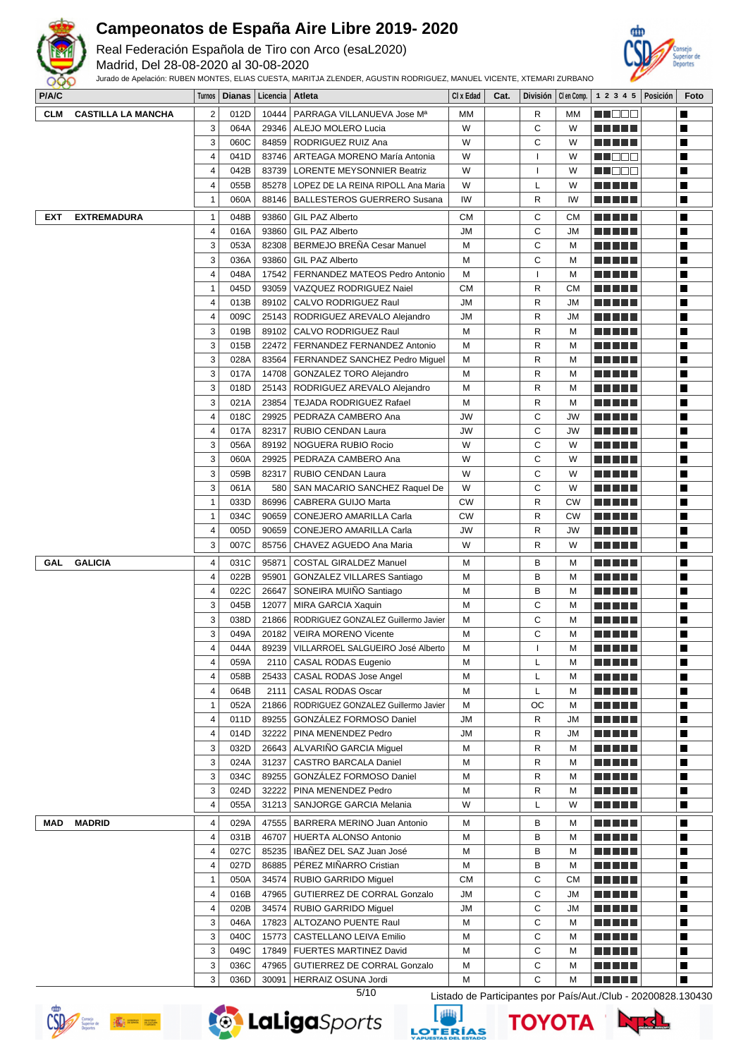

Real Federación Española de Tiro con Arco (esaL2020)

Madrid, Del 28-08-2020 al 30-08-2020



| P/A/C      |                           | Turnos         |      | Dianas   Licencia   Atleta |                                             | CI x Edad | Cat. |                          | División   Clen Comp. $\vert$ 1 2 3 4 5   Posición |                           |  | Foto                     |
|------------|---------------------------|----------------|------|----------------------------|---------------------------------------------|-----------|------|--------------------------|----------------------------------------------------|---------------------------|--|--------------------------|
| <b>CLM</b> | <b>CASTILLA LA MANCHA</b> | $\overline{2}$ | 012D | 10444                      | PARRAGA VILLANUEVA Jose Mª                  | МM        |      | R                        | МM                                                 | ME DE L                   |  | П                        |
|            |                           | 3              | 064A | 29346                      | ALEJO MOLERO Lucia                          | W         |      | C                        | W                                                  | <u> El Bertin</u>         |  | П                        |
|            |                           | 3              | 060C | 84859                      | RODRIGUEZ RUIZ Ana                          | W         |      | C                        | W                                                  | <u> Literatura de la </u> |  | П                        |
|            |                           | 4              | 041D | 83746                      | ARTEAGA MORENO María Antonia                | W         |      | ı                        | W                                                  | N I E E E                 |  | П                        |
|            |                           | 4              | 042B | 83739                      | <b>LORENTE MEYSONNIER Beatriz</b>           | W         |      | $\mathbf{I}$             | W                                                  | e de la p                 |  | П                        |
|            |                           | 4              | 055B | 85278                      | LOPEZ DE LA REINA RIPOLL Ana Maria          | W         |      | L                        | W                                                  |                           |  | $\overline{\phantom{a}}$ |
|            |                           | 1              | 060A | 88146                      | <b>BALLESTEROS GUERRERO Susana</b>          | IW        |      | R                        | IW                                                 | <u> Literatur</u>         |  | П                        |
| <b>EXT</b> | <b>EXTREMADURA</b>        | 1              | 048B | 93860                      | <b>GIL PAZ Alberto</b>                      | <b>CM</b> |      | С                        | <b>CM</b>                                          |                           |  | П                        |
|            |                           | 4              | 016A | 93860                      | <b>GIL PAZ Alberto</b>                      | <b>JM</b> |      | С                        | <b>JM</b>                                          |                           |  | П                        |
|            |                           | 3              | 053A | 82308                      | BERMEJO BREÑA Cesar Manuel                  | M         |      | C                        | M                                                  |                           |  | П                        |
|            |                           | 3              | 036A | 93860                      | GIL PAZ Alberto                             | М         |      | C                        | M                                                  | <u> Literatur</u>         |  | П                        |
|            |                           | 4              | 048A | 17542                      | FERNANDEZ MATEOS Pedro Antonio              | М         |      | $\overline{\phantom{a}}$ | M                                                  |                           |  | П                        |
|            |                           | 1              | 045D | 93059                      | VAZQUEZ RODRIGUEZ Naiel                     | <b>CM</b> |      | R                        | <b>CM</b>                                          | T FI JE                   |  | П                        |
|            |                           | 4              | 013B | 89102                      | CALVO RODRIGUEZ Raul                        | JМ        |      | R                        | JM                                                 | <u> Literatur in s</u>    |  | П                        |
|            |                           | 4              | 009C | 25143                      | RODRIGUEZ AREVALO Alejandro                 | JM        |      | R                        | JM                                                 | M M M M M                 |  | П                        |
|            |                           | 3              | 019B | 89102                      | CALVO RODRIGUEZ Raul                        | M         |      | R                        | м                                                  | <u> Literatura de la </u> |  | П                        |
|            |                           | 3              | 015B | 22472                      | FERNANDEZ FERNANDEZ Antonio                 | M         |      | R                        | M                                                  | <u> Literatur</u>         |  | П                        |
|            |                           | 3              | 028A | 83564                      | FERNANDEZ SANCHEZ Pedro Miquel              | М         |      | R                        | M                                                  |                           |  | П                        |
|            |                           | 3              | 017A | 14708                      | <b>GONZALEZ TORO Alejandro</b>              | M         |      | R                        | M                                                  |                           |  | П                        |
|            |                           | 3              | 018D | 25143                      | RODRIGUEZ AREVALO Alejandro                 | М         |      | R                        | M                                                  |                           |  | П                        |
|            |                           | 3              | 021A | 23854                      | <b>TEJADA RODRIGUEZ Rafael</b>              | М         |      | R                        | M                                                  | N E HEL                   |  | П                        |
|            |                           | 4              | 018C | 29925                      | PEDRAZA CAMBERO Ana                         | JW        |      | C                        | JW                                                 |                           |  | $\blacksquare$           |
|            |                           | 4              | 017A | 82317                      | <b>RUBIO CENDAN Laura</b>                   | JW        |      | C                        | JW                                                 |                           |  | П                        |
|            |                           | 3              | 056A | 89192                      | NOGUERA RUBIO Rocio                         | W         |      | C                        | W                                                  | n di Biblio               |  | П                        |
|            |                           | 3              | 060A | 29925                      | PEDRAZA CAMBERO Ana                         | W         |      | C                        | W                                                  | E E E E E                 |  | П                        |
|            |                           | 3              | 059B | 82317                      | RUBIO CENDAN Laura                          | W         |      | C                        | W                                                  | <u> Literatura de la </u> |  | П                        |
|            |                           | 3              | 061A | 580                        | SAN MACARIO SANCHEZ Raquel De               | W         |      | C                        | W                                                  |                           |  | П                        |
|            |                           | 1              | 033D | 86996                      | CABRERA GUIJO Marta                         | <b>CW</b> |      | R                        | <b>CW</b>                                          |                           |  | П                        |
|            |                           | 1              | 034C | 90659                      | CONEJERO AMARILLA Carla                     | <b>CW</b> |      | R                        | <b>CW</b>                                          | .                         |  | $\overline{\phantom{a}}$ |
|            |                           | 4              | 005D | 90659                      | CONEJERO AMARILLA Carla                     | JW        |      | R                        | JW                                                 | <u> Literatur</u>         |  | П                        |
|            |                           | 3              | 007C | 85756                      | CHAVEZ AGUEDO Ana Maria                     | W         |      | R                        | W                                                  | n Alai Bild               |  | П                        |
|            |                           |                |      |                            |                                             |           |      |                          |                                                    |                           |  |                          |
| GAL        | <b>GALICIA</b>            | 4              | 031C | 95871                      | <b>COSTAL GIRALDEZ Manuel</b>               | M         |      | в                        | м                                                  |                           |  | П                        |
|            |                           | 4              | 022B | 95901                      | <b>GONZALEZ VILLARES Santiago</b>           | М         |      | B                        | M                                                  | -----                     |  | $\overline{\phantom{a}}$ |
|            |                           | 4              | 022C | 26647                      | SONEIRA MUIÑO Santiago                      | М         |      | B                        | м                                                  | <u> Literatur</u>         |  | П                        |
|            |                           | 3              | 045B | 12077                      | MIRA GARCIA Xaquin                          | M         |      | С                        | M                                                  | M A H H H                 |  | П                        |
|            |                           | 3              | 038D | 21866                      | RODRIGUEZ GONZALEZ Guillermo Javier         | М         |      | C                        | M                                                  |                           |  | $\blacksquare$           |
|            |                           | 3              | 049A | 20182                      | <b>VEIRA MORENO Vicente</b>                 | М         |      | C                        | M                                                  | <u> Literatur in s</u>    |  | П                        |
|            |                           | 4              | 044A | 89239                      | VILLARROEL SALGUEIRO José Alberto           | М         |      |                          | М                                                  | <u> Literatur in s</u>    |  | П                        |
|            |                           | 4              | 059A |                            | 2110   CASAL RODAS Eugenio                  | M         |      | L                        | м                                                  | <u> El Espa</u>           |  | ш                        |
|            |                           | 4              | 058B |                            | 25433   CASAL RODAS Jose Angel              | M         |      | L                        | M                                                  | <u> Liberal Maria II</u>  |  | П                        |
|            |                           | 4              | 064B | 2111                       | <b>CASAL RODAS Oscar</b>                    | М         |      | L                        | М                                                  | <u> Literatur</u>         |  | П                        |
|            |                           | 1              | 052A |                            | 21866   RODRIGUEZ GONZALEZ Guillermo Javier | М         |      | OС                       | M                                                  | MA MATA                   |  | П                        |
|            |                           | 4              | 011D |                            | 89255 GONZÁLEZ FORMOSO Daniel               | <b>JM</b> |      | R                        | JM                                                 | <u> Literatur</u>         |  | П                        |
|            |                           | 4              | 014D | 32222                      | PINA MENENDEZ Pedro                         | <b>JM</b> |      | $\mathsf{R}$             | JM                                                 | <u> El El El E</u>        |  | П                        |
|            |                           | 3              | 032D |                            | 26643   ALVARIÑO GARCIA Miquel              | M         |      | R                        | M                                                  | <u> Literatur</u>         |  | П                        |
|            |                           | 3              | 024A | 31237                      | <b>CASTRO BARCALA Daniel</b>                | M         |      | R                        | M                                                  | a da da                   |  | П                        |
|            |                           | 3              | 034C | 89255                      | GONZÁLEZ FORMOSO Daniel                     | М         |      | $\mathsf{R}$             | M                                                  | <u> El Berto de la </u>   |  | П                        |
|            |                           | 3              | 024D | 32222                      | PINA MENENDEZ Pedro                         | M         |      | R                        | м                                                  | <u> El Bell</u>           |  | П                        |
|            |                           | 4              | 055A | 31213                      | SANJORGE GARCIA Melania                     | W         |      | L                        | W                                                  | M M M M M                 |  | П                        |
| MAD        | <b>MADRID</b>             | 4              | 029A | 47555                      | BARRERA MERINO Juan Antonio                 | M         |      | в                        | м                                                  | MA MATA                   |  | П                        |
|            |                           | 4              | 031B | 46707                      | HUERTA ALONSO Antonio                       | М         |      | В                        | M                                                  | <u> La La La</u>          |  | П                        |
|            |                           | 4              | 027C | 85235                      | IBAÑEZ DEL SAZ Juan José                    | M         |      | В                        | м                                                  | <u> El Bell</u>           |  | П                        |
|            |                           | 4              | 027D | 86885                      | PÉREZ MIÑARRO Cristian                      | M         |      | в                        | м                                                  | a da da da                |  | П                        |
|            |                           | 1              | 050A | 34574                      | RUBIO GARRIDO Miguel                        | <b>CM</b> |      | С                        | СM                                                 | <u> Literatur</u>         |  | П                        |
|            |                           | 4              | 016B | 47965                      | GUTIERREZ DE CORRAL Gonzalo                 | <b>JM</b> |      | C                        | JM                                                 | <u> El Bell</u>           |  | П                        |
|            |                           | 4              | 020B | 34574                      | RUBIO GARRIDO Miguel                        | JМ        |      | C                        | JM                                                 | <u> Literatur</u>         |  | П                        |
|            |                           | 3              | 046A | 17823                      | ALTOZANO PUENTE Raul                        | M         |      | C                        | м                                                  | <u> Literatur</u>         |  | П                        |
|            |                           | 3              | 040C |                            | 15773   CASTELLANO LEIVA Emilio             | M         |      | C                        | M                                                  |                           |  | П                        |
|            |                           | 3              | 049C |                            | 17849   FUERTES MARTINEZ David              | M         |      | С                        | м                                                  |                           |  | П                        |
|            |                           | 3              | 036C |                            | 47965   GUTIERREZ DE CORRAL Gonzalo         | М         |      | C                        | M                                                  | <u> El Berto de la </u>   |  | П                        |
|            |                           | 3              | 036D |                            | 30091   HERRAIZ OSUNA Jordi                 | М         |      | C                        | M                                                  | a di kacamatan            |  | П                        |







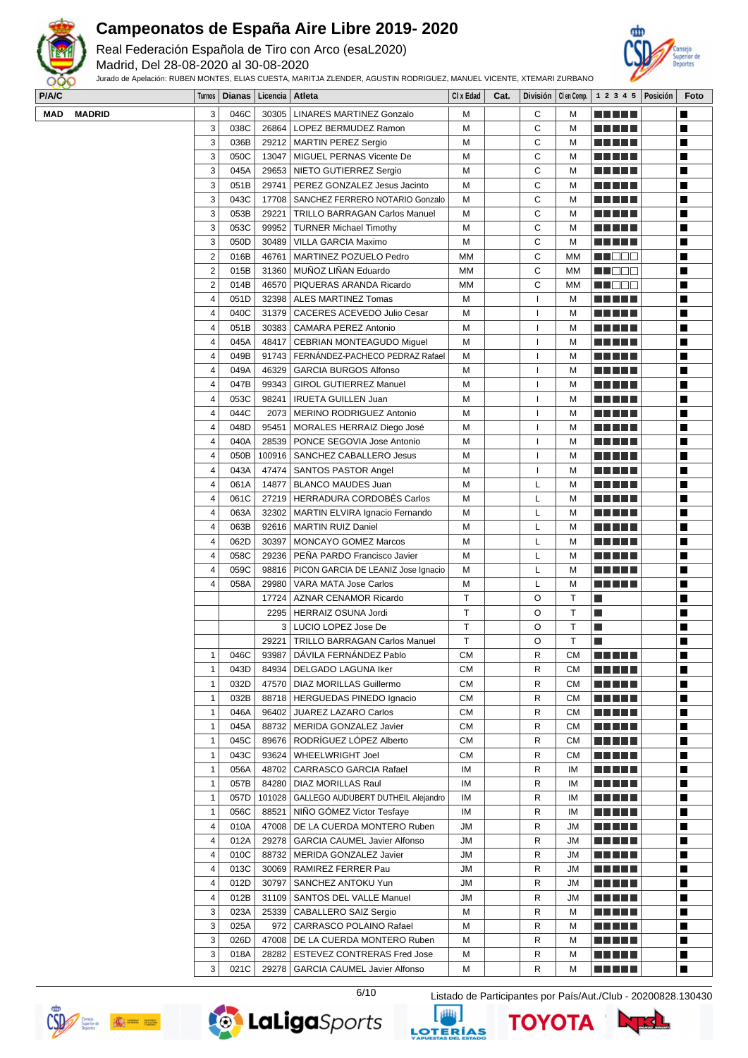

Real Federación Española de Tiro con Arco (esaL2020)

Madrid, Del 28-08-2020 al 30-08-2020

Jurado de Apelación: RUBEN MONTES, ELIAS CUESTA, MARITJA ZLENDER, AGUSTIN RODRIGUEZ, MANUEL VICENTE, XTEMARI ZURBANO



| P/A/C |               |                         | Turnos   Dianas   Licencia   Atleta |        |                                                         | CI x Edad | Cat. |           |           | División   Clen Comp.   1 2 3 4 5   Posición | Foto |
|-------|---------------|-------------------------|-------------------------------------|--------|---------------------------------------------------------|-----------|------|-----------|-----------|----------------------------------------------|------|
| MAD   | <b>MADRID</b> | 3                       | 046C                                |        | 30305   LINARES MARTINEZ Gonzalo                        | М         |      | С         | М         |                                              | П    |
|       |               | 3                       | 038C                                |        | 26864   LOPEZ BERMUDEZ Ramon                            | M         |      | C         | M         |                                              | Ш    |
|       |               | 3                       | 036B                                |        | 29212   MARTIN PEREZ Sergio                             | M         |      | C         | M         | <u> Literatur</u>                            | Ш    |
|       |               | 3                       | 050C                                | 13047  | MIGUEL PERNAS Vicente De                                | M         |      | C         | M         | <u> Literatur</u>                            | ш    |
|       |               | 3                       | 045A                                |        | 29653   NIETO GUTIERREZ Sergio                          | м         |      | C         | M         | <u> Literatur</u>                            | Ш    |
|       |               | 3                       | 051B                                | 29741  | PEREZ GONZALEZ Jesus Jacinto                            | м         |      | С         | M         | <u> La La La</u>                             | Ш    |
|       |               | 3                       | 043C                                |        | 17708   SANCHEZ FERRERO NOTARIO Gonzalo                 | м         |      | С         | M         | <u> Literatur</u>                            | Ш    |
|       |               | 3                       | 053B                                | 29221  | <b>TRILLO BARRAGAN Carlos Manuel</b>                    | M         |      | C         | M         | <u> La La La</u>                             | Ш    |
|       |               | 3                       | 053C                                |        | 99952   TURNER Michael Timothy                          | M         |      | C         | M         | <u> Literatur</u>                            | Ш    |
|       |               | 3                       | 050D                                |        | 30489   VILLA GARCIA Maximo                             | M         |      | C         | M         |                                              | Ш    |
|       |               | $\mathbf 2$             | 016B                                | 46761  | MARTINEZ POZUELO Pedro                                  | МM        |      | C         | МM        | MU O O O                                     | Ш    |
|       |               | $\overline{2}$          | 015B                                |        | 31360   MUÑOZ LIÑAN Eduardo                             | МM        |      | C         | MМ        | M S S S                                      | Ш    |
|       |               | $\mathbf 2$             | 014B                                | 46570  | PIQUERAS ARANDA Ricardo                                 | МM        |      | С         | MМ        | <u> HEEC</u>                                 | Ш    |
|       |               | 4                       | 051D                                |        | 32398   ALES MARTINEZ Tomas                             | M         |      | ı         | M         | <u> Literatur</u>                            | Ш    |
|       |               | 4                       | 040C                                |        | 31379   CACERES ACEVEDO Julio Cesar                     | M         |      | ı         | M         | <u> La La La</u>                             | Ш    |
|       |               | 4                       | 051B                                |        | 30383   CAMARA PEREZ Antonio                            | M         |      |           | M         | <u> La La La</u>                             | Ш    |
|       |               | 4                       | 045A                                |        | 48417   CEBRIAN MONTEAGUDO Miguel                       | M         |      |           | M         | <u> La La La</u>                             | Ш    |
|       |               | 4                       | 049B                                |        | 91743   FERNANDEZ-PACHECO PEDRAZ Rafael                 | M         |      | ı         | M         |                                              | H    |
|       |               | 4                       | 049A                                |        | 46329 GARCIA BURGOS Alfonso                             | M         |      |           | M         |                                              | Ш    |
|       |               | 4                       | 047B                                |        | 99343   GIROL GUTIERREZ Manuel                          | M         |      | ı         | M         | <u> Literatur</u>                            | Ш    |
|       |               | 4                       |                                     |        |                                                         |           |      | ı         |           |                                              | Ш    |
|       |               | 4                       | 053C<br>044C                        | 2073   | 98241   IRUETA GUILLEN Juan<br>MERINO RODRIGUEZ Antonio | M<br>M    |      | ı         | M<br>M    | <u> Literatur</u>                            |      |
|       |               |                         |                                     |        |                                                         |           |      |           |           | <u> El Esta</u>                              | ш    |
|       |               | 4                       | 048D                                | 95451  | MORALES HERRAIZ Diego José                              | M         |      | ı         | M         | <u> La La La</u>                             | Ш    |
|       |               | 4                       | 040A                                |        | 28539   PONCE SEGOVIA Jose Antonio                      | M         |      | ı         | M         |                                              | ш    |
|       |               | 4                       | 050B                                |        | 100916   SANCHEZ CABALLERO Jesus                        | M         |      | ı         | M         | ma se s                                      | Ш    |
|       |               | 4                       | 043A                                |        | 47474   SANTOS PASTOR Angel                             | M         |      | ı         | M         | <u> La La La</u>                             | Ш    |
|       |               | 4                       | 061A                                |        | 14877   BLANCO MAUDES Juan                              | M         |      | L         | M         | <u> La La La</u>                             | Ш    |
|       |               | 4                       | 061C                                |        | 27219   HERRADURA CORDOBÉS Carlos                       | M         |      | L         | M         | <u> Literatur</u>                            | Ш    |
|       |               | 4                       | 063A                                |        | 32302   MARTIN ELVIRA Ignacio Fernando                  | м         |      | L         | M         |                                              | Ш    |
|       |               | $\overline{\mathbf{4}}$ | 063B                                |        | 92616   MARTIN RUIZ Daniel                              | M         |      | L         | M         | <u> La La La</u> La                          | Ш    |
|       |               | 4                       | 062D                                | 30397  | MONCAYO GOMEZ Marcos                                    | M         |      | L         | M         | <u> La La La</u> La                          | Ш    |
|       |               | 4                       | 058C                                | 29236  | PEÑA PARDO Francisco Javier                             | M         |      | L         | M         |                                              | ш    |
|       |               | 4                       | 059C                                |        | 98816   PICON GARCIA DE LEANIZ Jose Ignacio             | м         |      | L         | M         |                                              | Ш    |
|       |               | 4                       | 058A                                |        | 29980   VARA MATA Jose Carlos                           | M         |      | L         | M         |                                              | Ш    |
|       |               |                         |                                     | 17724  | AZNAR CENAMOR Ricardo                                   | T.        |      | O         | T         | Ш                                            | Ш    |
|       |               |                         |                                     |        | 2295   HERRAIZ OSUNA Jordi                              | T.        |      | O         | Т         | Ш                                            | Ш    |
|       |               |                         |                                     |        | 3   LUCIO LOPEZ Jose De                                 | T.        |      | O         | Т         | Ш                                            | Ш    |
|       |               |                         |                                     |        | 29221   TRILLO BARRAGAN Carlos Manuel                   | T         |      | O         | Т         | П                                            | Ш    |
|       |               | $\mathbf{1}$            | 046C                                |        | 93987   DÁVILA FERNÁNDEZ Pablo                          | CM        |      | ${\sf R}$ | CM        | <u> El Bibliotto de la p</u>                 |      |
|       |               | 1                       | 043D                                |        | 84934   DELGADO LAGUNA Iker                             | <b>CM</b> |      | R         | CМ        | <u> El Bibliotto de la p</u>                 | Ш    |
|       |               | $\mathbf{1}$            | 032D                                |        | 47570   DIAZ MORILLAS Guillermo                         | <b>CM</b> |      | R         | CM        | <u> Literatur</u>                            | ш    |
|       |               | 1                       | 032B                                |        | 88718   HERGUEDAS PINEDO Ignacio                        | CM        |      | R         | <b>CM</b> | <u> La La La</u>                             | ш    |
|       |               | $\mathbf{1}$            | 046A                                | 96402  | JUAREZ LAZARO Carlos                                    | СM        |      | R         | СM        | <u> La La La</u>                             | ш    |
|       |               | $\mathbf{1}$            | 045A                                |        | 88732   MERIDA GONZALEZ Javier                          | <b>CM</b> |      | R         | СM        | MA NA H                                      | H    |
|       |               | 1                       | 045C                                |        | 89676 RODRÍGUEZ LÓPEZ Alberto                           | СM        |      | R         | СM        | MA NE L                                      | ш    |
|       |               | 1                       | 043C                                |        | 93624   WHEELWRIGHT Joel                                | <b>CM</b> |      | R         | СM        | <u> Literatur</u>                            | Ш    |
|       |               | 1                       | 056A                                | 48702  | CARRASCO GARCIA Rafael                                  | IM        |      | R         | ΙM        | <u> La La La</u> La                          | Ш    |
|       |               | $\mathbf{1}$            | 057B                                |        | 84280   DIAZ MORILLAS Raul                              | ΙM        |      | R         | IM        | a da da b                                    | Ш    |
|       |               | 1                       | 057D                                | 101028 | GALLEGO AUDUBERT DUTHEIL Alejandro                      | IM        |      | R         | IM        | a da da b                                    | ш    |
|       |               | 1                       | 056C                                | 88521  | NIÑO GÓMEZ Victor Tesfaye                               | IM        |      | R         | IM        | <u> El Bibliotto de la p</u>                 | ш    |
|       |               | 4                       | 010A                                |        | 47008   DE LA CUERDA MONTERO Ruben                      | JM        |      | R         | JM        | <u> La Liberta de la </u>                    | ш    |
|       |               | 4                       | 012A                                |        | 29278   GARCIA CAUMEL Javier Alfonso                    | JM        |      | R         | JM        | <u> La La La</u>                             | ш    |
|       |               | 4                       | 010C                                | 88732  | MERIDA GONZALEZ Javier                                  | JM        |      | R         | <b>JM</b> | <u> La La La</u>                             | Ш    |
|       |               | 4                       | 013C                                |        | 30069   RAMIREZ FERRER Pau                              | JM        |      | R         | JМ        | <u> La La La</u>                             | ш    |
|       |               | 4                       | 012D                                |        | 30797   SANCHEZ ANTOKU Yun                              | JM        |      | R         | JМ        | <u> Literatur</u>                            | Ш    |
|       |               | 4                       | 012B                                |        | 31109   SANTOS DEL VALLE Manuel                         | JM        |      | R         | JM        | <u> La La La</u> La                          | Ш    |
|       |               | 3                       | 023A                                | 25339  | CABALLERO SAIZ Sergio                                   | M         |      | R         | M         | <u> El El El E</u>                           | Ш    |
|       |               | 3                       | 025A                                | 972    | CARRASCO POLAINO Rafael                                 | Μ         |      | R         | M         | <u> Literatur</u>                            | ш    |
|       |               | 3                       |                                     |        |                                                         |           |      | R         |           |                                              |      |
|       |               |                         | 026D                                |        | 47008   DE LA CUERDA MONTERO Ruben                      | Μ         |      | R         | M         | <u> Literatur</u>                            | ш    |
|       |               | 3                       | 018A                                |        | 28282   ESTEVEZ CONTRERAS Fred Jose                     | м         |      |           | М         | <u> La La La</u> La                          | ш    |
|       |               | 3                       | 021C                                |        | 29278   GARCIA CAUMEL Javier Alfonso                    | м         |      | R         | М         | <u> El El El E</u>                           | ш    |

 $\langle \widehat{\mathbf{G}} \rangle$  and  $\langle \mathbf{G} \rangle$ 





ΤΟΥΟΤΑ

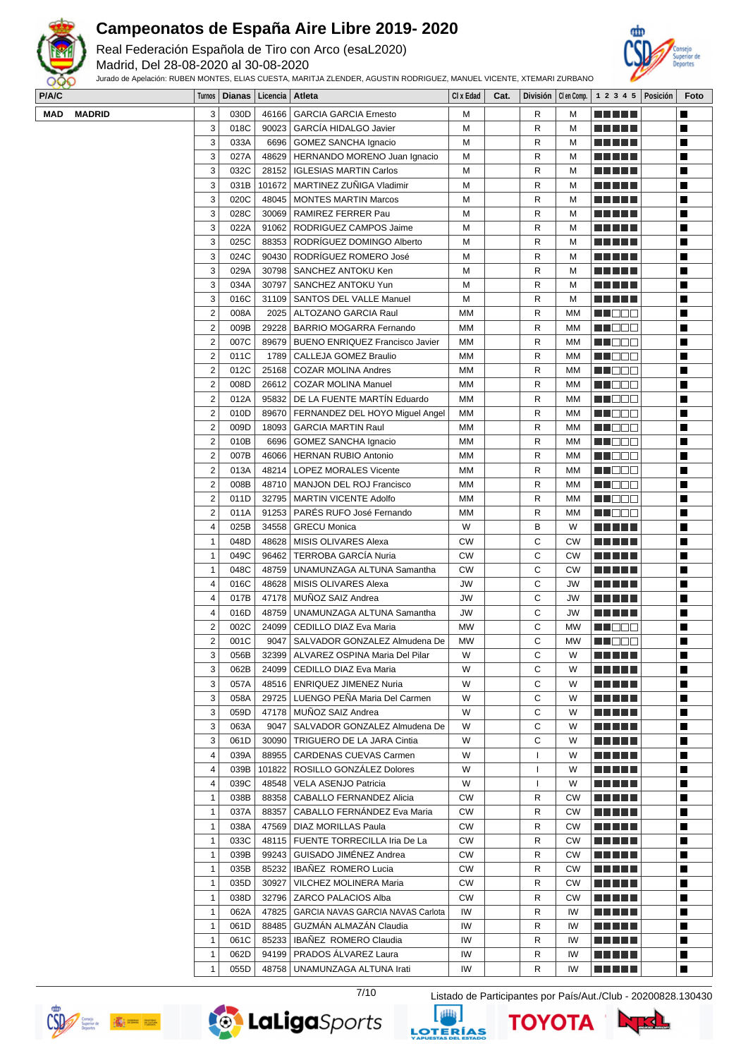

Real Federación Española de Tiro con Arco (esaL2020)

Madrid, Del 28-08-2020 al 30-08-2020



| Jurado de Apelación: RUBEN MONTES, ELIAS CUESTA, MARITJA ZLENDER, AGUSTIN RODRIGUEZ, MANUEL VICENTE, XTEMARI ZURBANO<br>999 |               |        |                 |                   |                                      |           |      |   |           |                                              |  |      |  |
|-----------------------------------------------------------------------------------------------------------------------------|---------------|--------|-----------------|-------------------|--------------------------------------|-----------|------|---|-----------|----------------------------------------------|--|------|--|
| <b>P/A/C</b>                                                                                                                |               |        | Turnos   Dianas | Licencia   Atleta |                                      | CI x Edad | Cat. |   |           | División   Clen Comp.   1 2 3 4 5   Posición |  | Foto |  |
| MAD                                                                                                                         | <b>MADRID</b> | 3      | 030D            | 46166             | GARCIA GARCIA Ernesto                | М         |      | R | M         | a propinsi                                   |  |      |  |
|                                                                                                                             |               |        | 018C            |                   | 90023 GARCÍA HIDALGO Javier          | М         |      | R | M         |                                              |  |      |  |
|                                                                                                                             |               |        | 033A            | 6696              | GOMEZ SANCHA Ignacio                 | М         |      | R | M         | a di Biblio                                  |  |      |  |
|                                                                                                                             |               |        | 027A            |                   | 48629   HERNANDO MORENO Juan Ignacio | м         |      | R | M         | AN IV                                        |  |      |  |
|                                                                                                                             |               |        | 032C            |                   | 28152   IGLESIAS MARTIN Carlos       | М         |      | R | M         | T FIFTI T                                    |  |      |  |
|                                                                                                                             |               |        | 031B            |                   | 101672   MARTINEZ ZUÑIGA Vladimir    | М         |      | R | M         | an di J                                      |  |      |  |
|                                                                                                                             |               |        | 020C            | 48045             | MONTES MARTIN Marcos                 | М         |      | R | M         | T FI FI FI                                   |  |      |  |
|                                                                                                                             |               |        | 028C            |                   | 30069   RAMIREZ FERRER Pau           | М         |      | R | M         | a propinsi                                   |  |      |  |
|                                                                                                                             |               | $\sim$ | noo All         |                   | 01062 BODBICHEZ CAMBOS Joime         | <b>NA</b> |      | D | <b>NA</b> | ------                                       |  |      |  |

| 3              | 031B |        | 101672   MARTINEZ ZUÑIGA Vladimir      | М         | R            | M         | <u> La La La</u>                                                                                                    | ш |
|----------------|------|--------|----------------------------------------|-----------|--------------|-----------|---------------------------------------------------------------------------------------------------------------------|---|
| 3              | 020C | 48045  | <b>MONTES MARTIN Marcos</b>            | м         | R            | М         |                                                                                                                     | ш |
| 3              | 028C | 30069  | RAMIREZ FERRER Pau                     | М         | R            | М         |                                                                                                                     | Ш |
| 3              | 022A | 91062  | RODRIGUEZ CAMPOS Jaime                 | М         | R            | М         |                                                                                                                     | Ш |
| 3              | 025C | 88353  | RODRÍGUEZ DOMINGO Alberto              | М         | R            | M         | <b>ANDREAD AND A</b>                                                                                                | Ш |
| 3              | 024C | 90430  | RODRÍGUEZ ROMERO José                  | М         | R            | М         | <b>ANDREAD AND A</b>                                                                                                | ш |
| 3              | 029A | 30798  | SANCHEZ ANTOKU Ken                     | М         | R            | М         | <u> 1909 - 1919 - 1919 - 1919 - 1919 - 1919 - 1919 - 1919 - 1919 - 1919 - 1919 - 1919 - 1919 - 1919 - 1919 - 19</u> | ш |
| 3              | 034A | 30797  | SANCHEZ ANTOKU Yun                     | М         | R            | М         | <u> Literatur</u>                                                                                                   | Ш |
| 3              | 016C | 31109  | SANTOS DEL VALLE Manuel                | М         | R            | М         | ME SE S                                                                                                             | Ш |
| 2              | 008A | 2025   | ALTOZANO GARCIA Raul                   | МM        | R            | МM        | M OOO                                                                                                               | ш |
| 2              | 009B | 29228  | <b>BARRIO MOGARRA Fernando</b>         | MМ        | R            | ΜМ        | HI I E E                                                                                                            | ш |
| 2              | 007C | 89679  | <b>BUENO ENRIQUEZ Francisco Javier</b> | МM        | R            | МM        | <b>HENTIA</b>                                                                                                       | Ш |
| $\overline{2}$ | 011C | 1789   | CALLEJA GOMEZ Braulio                  | МM        | R            | ΜМ        | MI EEE                                                                                                              | Ш |
| $\overline{2}$ | 012C | 25168  | <b>COZAR MOLINA Andres</b>             | МM        | R            | MМ        | M DE E                                                                                                              | Ш |
| $\overline{2}$ | 008D |        | 26612   COZAR MOLINA Manuel            | МM        | R            | ΜМ        | M DE E                                                                                                              | Ш |
| 2              | 012A |        | 95832   DE LA FUENTE MARTÍN Eduardo    | MМ        | R            | ΜМ        | n de e                                                                                                              | ш |
| 2              | 010D | 89670  | FERNANDEZ DEL HOYO Miguel Angel        | МM        | R            | MМ        | M DE B                                                                                                              | Ш |
| 2              | 009D | 18093  | <b>GARCIA MARTIN Raul</b>              | МM        | R            | ΜМ        | M BE S                                                                                                              | ш |
| 2              | 010B | 6696   | <b>GOMEZ SANCHA Ignacio</b>            | МM        | R            | МM        | M DE E                                                                                                              | П |
| $\overline{2}$ | 007B | 46066  | <b>HERNAN RUBIO Antonio</b>            | МM        | R            | ΜМ        | HI EES                                                                                                              | Ш |
| 2              | 013A | 48214  | <b>LOPEZ MORALES Vicente</b>           | МM        | R            | MМ        | HI DEE                                                                                                              | Ш |
| $\overline{2}$ | 008B | 48710  | <b>MANJON DEL ROJ Francisco</b>        | МM        | R            | ΜМ        | MU O O O                                                                                                            | Ш |
| 2              | 011D | 32795  | MARTIN VICENTE Adolfo                  | МM        | R            | MМ        | MN OOO                                                                                                              | ш |
| $\overline{2}$ | 011A | 91253  | PARÉS RUFO José Fernando               | МM        | R            | MМ        | M DE E                                                                                                              | ш |
| 4              | 025B | 34558  | <b>GRECU Monica</b>                    | W         | в            | W         | <b>ANDREAD AND A</b>                                                                                                | ш |
| 1              | 048D | 48628  | <b>MISIS OLIVARES Alexa</b>            | CW        | C            | <b>CW</b> | <u> Literatur</u>                                                                                                   | Ш |
| 1              | 049C | 96462  | <b>TERROBA GARCÍA Nuria</b>            | <b>CW</b> | C            | <b>CW</b> | a da bid                                                                                                            | H |
| 1              | 048C | 48759  | UNAMUNZAGA ALTUNA Samantha             | <b>CW</b> | C            | CW        | <u> El Ser</u>                                                                                                      | ш |
| 4              | 016C | 48628  | MISIS OLIVARES Alexa                   | <b>JW</b> | С            | JW        | <u> El Bratal</u>                                                                                                   | Ш |
| 4              | 017B | 47178  | MUÑOZ SAIZ Andrea                      | JW        | C            | JW        | <u> El Bratal</u>                                                                                                   | Ш |
| 4              | 016D | 48759  | UNAMUNZAGA ALTUNA Samantha             | JW        | С            | JW        | <u> El Bratal</u>                                                                                                   | Ш |
| 2              | 002C | 24099  | CEDILLO DIAZ Eva Maria                 | МW        | С            | MW        | MU DO O                                                                                                             | ш |
| 2              | 001C | 9047   | SALVADOR GONZALEZ Almudena De          | МW        | С            | MW        | M DO O                                                                                                              | ш |
| 3              | 056B | 32399  | ALVAREZ OSPINA Maria Del Pilar         | W         | C            | W         | m a mata                                                                                                            | ш |
| 3              | 062B | 24099  | CEDILLO DIAZ Eva Maria                 | W         | C            | W         | m a mata                                                                                                            | Ш |
| 3              | 057A |        | 48516   ENRIQUEZ JIMENEZ Nuria         | W         | С            | W         | Martin Mar                                                                                                          | Ш |
| 3              | 058A | 29725  | LUENGO PEÑA Maria Del Carmen           | W         | С            | W         | <u> El Ser</u>                                                                                                      | ш |
| 3              | 059D | 47178  | MUÑOZ SAIZ Andrea                      | W         | С            | W         |                                                                                                                     | Ш |
| 3              | 063A | 9047   | SALVADOR GONZALEZ Almudena De          | W         | С            | W         | <u> La La La</u>                                                                                                    | ш |
| 3              | 061D | 30090  | TRIGUERO DE LA JARA Cintia             | W         | C            | W         |                                                                                                                     | H |
| 4              | 039A | 88955  | CARDENAS CUEVAS Carmen                 | W         | L            | W         | <u> Literatur</u>                                                                                                   | ш |
| 4              | 039B | 101822 | ROSILLO GONZÁLEZ Dolores               | W         | L            | W         |                                                                                                                     | ш |
| 4              | 039C | 48548  | VELA ASENJO Patricia                   | W         | $\mathsf{I}$ | W         | <u> Literatur</u>                                                                                                   | ш |
| 1              | 038B | 88358  | <b>CABALLO FERNANDEZ Alicia</b>        | <b>CW</b> | R            | <b>CW</b> | <u> El Ser</u>                                                                                                      | Ш |
| 1              | 037A | 88357  | CABALLO FERNÁNDEZ Eva Maria            | CW        | R            | <b>CW</b> | <u> Listo de la </u>                                                                                                | ш |
| 1              | 038A | 47569  | DIAZ MORILLAS Paula                    | <b>CW</b> | R            | <b>CW</b> | <u> El El El E</u>                                                                                                  | Ш |
| 1              | 033C |        | 48115   FUENTE TORRECILLA Iria De La   | <b>CW</b> | R            | <b>CW</b> | ▉▊▊▊▙                                                                                                               | ш |
| 1              | 039B | 99243  | GUISADO JIMÉNEZ Andrea                 | <b>CW</b> | R            | <b>CW</b> | <u> El Espa</u>                                                                                                     | ш |
| 1              | 035B |        | 85232   IBAÑEZ ROMERO Lucia            | CW        | R            | СW        | <u> Literatur</u>                                                                                                   | ш |
| 1              | 035D | 30927  | VILCHEZ MOLINERA Maria                 | <b>CW</b> | R            | СW        | MA NE LI                                                                                                            | ш |
| 1              | 038D |        | 32796   ZARCO PALACIOS Alba            | <b>CW</b> | R            | <b>CW</b> | MAN HE                                                                                                              | ш |
| 1              | 062A | 47825  | GARCIA NAVAS GARCIA NAVAS Carlota      | IW        | R            | IW        | <u> Literatur</u>                                                                                                   | ш |
| 1              | 061D | 88485  | GUZMÁN ALMAZÁN Claudia                 | IW        | R            | IW        | <u> El El El E</u>                                                                                                  | Ш |
| 1              | 061C |        | 85233   IBANEZ ROMERO Claudia          | IW        | R            | IW        | <u> El Esta</u>                                                                                                     | ш |
| 1              | 062D | 94199  | PRADOS ALVAREZ Laura                   | IW        | R            | IW        | <u> El El El E</u>                                                                                                  | ш |
| 1              | 055D | 48758  | UNAMUNZAGA ALTUNA Irati                | IW        | R            | IW        | <u> El Esta</u>                                                                                                     | ш |







7/10 Listado de Participantes por País/Aut./Club - 20200828.130430

**TOYOTA** 

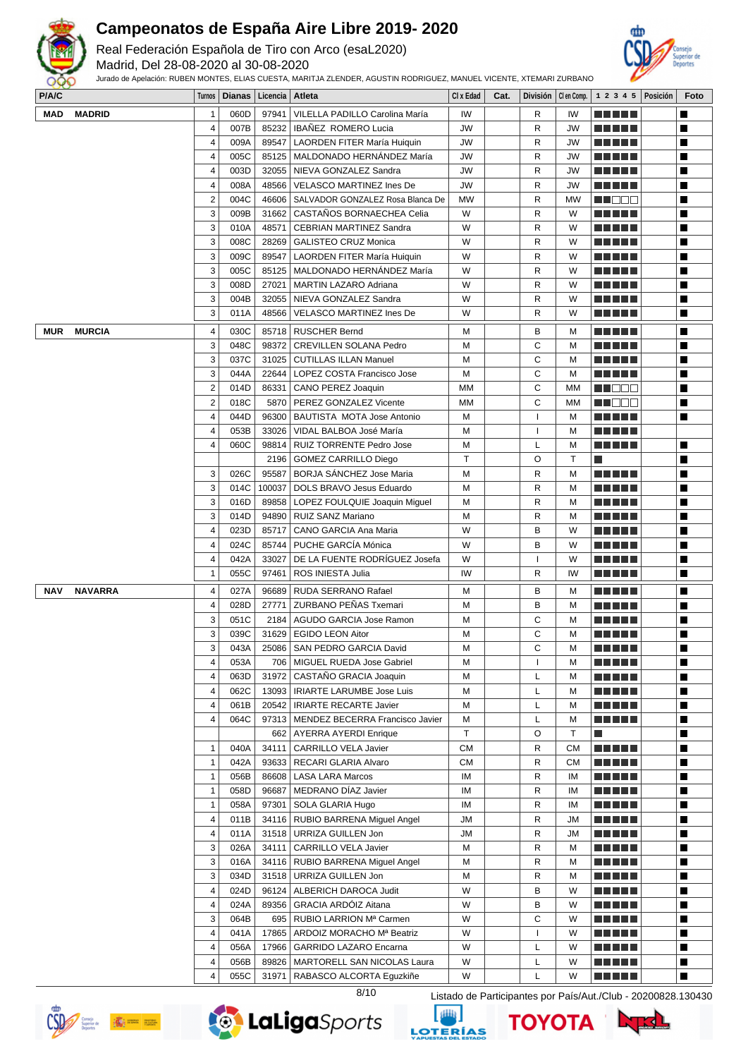

Real Federación Española de Tiro con Arco (esaL2020)

Madrid, Del 28-08-2020 al 30-08-2020



| P/A/C |                |                         | Turnos   Dianas   Licencia   Atleta |        |                                         | CI x Edad    | Cat. |                          |              |    |                      | División   Clen Comp.   1 2 3 4 5   Posición | Foto           |
|-------|----------------|-------------------------|-------------------------------------|--------|-----------------------------------------|--------------|------|--------------------------|--------------|----|----------------------|----------------------------------------------|----------------|
| MAD   | <b>MADRID</b>  | 1                       | 060D                                | 97941  | VILELLA PADILLO Carolina María          | IW           |      | R                        | IW           |    |                      |                                              | ш              |
|       |                | $\overline{4}$          | 007B                                | 85232  | IBAÑEZ ROMERO Lucia                     | JW           |      | $\mathsf{R}$             | JW           |    | .                    |                                              | П              |
|       |                | 4                       | 009A                                | 89547  | <b>LAORDEN FITER María Huiquin</b>      | JW           |      | R                        | <b>JW</b>    |    | a da bid             |                                              | П              |
|       |                | $\overline{\mathbf{4}}$ | 005C                                | 85125  | MALDONADO HERNÁNDEZ María               | JW           |      | R                        | JW           |    | a di kacamatan Ing   |                                              | П              |
|       |                | 4                       | 003D                                | 32055  | NIEVA GONZALEZ Sandra                   | JW           |      | $\mathsf{R}$             | <b>JW</b>    |    |                      |                                              | П              |
|       |                | 4                       | 008A                                | 48566  | <b>VELASCO MARTINEZ Ines De</b>         | JW           |      | R                        | <b>JW</b>    |    | n din Fil            |                                              | П              |
|       |                | $\mathbf 2$             | 004C                                | 46606  | SALVADOR GONZALEZ Rosa Blanca De        | <b>MW</b>    |      | R                        | <b>MW</b>    |    | wa mata              |                                              | П              |
|       |                | 3                       | 009B                                | 31662  | CASTAÑOS BORNAECHEA Celia               | W            |      | R                        | W            |    |                      |                                              | П              |
|       |                | 3                       | 010A                                | 48571  | <b>CEBRIAN MARTINEZ Sandra</b>          | W            |      | R                        | W            |    | T F F V V            |                                              | П              |
|       |                | 3                       | 008C                                | 28269  | <b>GALISTEO CRUZ Monica</b>             | W            |      | R                        | W            |    | -----                |                                              | П              |
|       |                | 3                       | 009C                                | 89547  | LAORDEN FITER María Huiquin             | W            |      | R                        | W            |    |                      |                                              | П              |
|       |                |                         |                                     |        |                                         |              |      |                          |              |    |                      |                                              |                |
|       |                | 3                       | 005C                                | 85125  | MALDONADO HERNÁNDEZ María               | W            |      | R                        | W            |    | M M M M M            |                                              | П              |
|       |                | 3                       | 008D                                | 27021  | MARTIN LAZARO Adriana                   | W            |      | R                        | W            |    | <u> Literatur</u>    |                                              | П              |
|       |                | 3                       | 004B                                | 32055  | NIEVA GONZALEZ Sandra                   | W            |      | $\mathsf{R}$             | W            |    |                      |                                              | П              |
|       |                | 3                       | 011A                                | 48566  | VELASCO MARTINEZ Ines De                | W            |      | R                        | W            |    |                      |                                              | П              |
| MUR   | <b>MURCIA</b>  | $\overline{\mathbf{4}}$ | 030C                                | 85718  | <b>RUSCHER Bernd</b>                    | M            |      | B                        | M            |    | n di Tito            |                                              | П              |
|       |                | 3                       | 048C                                | 98372  | <b>CREVILLEN SOLANA Pedro</b>           | M            |      | C                        | м            |    | n di Tito            |                                              | П              |
|       |                | 3                       | 037C                                | 31025  | CUTILLAS ILLAN Manuel                   | M            |      | C                        | M            |    |                      |                                              | П              |
|       |                | 3                       | 044A                                | 22644  | LOPEZ COSTA Francisco Jose              | M            |      | C                        | м            |    |                      |                                              | П              |
|       |                | $\overline{2}$          | 014D                                | 86331  | CANO PEREZ Joaquin                      | MM           |      | C                        | MM           |    | wa katika ku         |                                              | П              |
|       |                | $\overline{2}$          | 018C                                | 5870   | PEREZ GONZALEZ Vicente                  | МM           |      | $\mathsf{C}$             | MМ           |    | W DOO                |                                              | П              |
|       |                | $\overline{\mathbf{4}}$ | 044D                                | 96300  |                                         | M            |      | I                        | M            |    |                      |                                              | П              |
|       |                |                         |                                     |        | BAUTISTA MOTA Jose Antonio              |              |      |                          |              |    | <u>a kata ing Pa</u> |                                              |                |
|       |                | 4                       | 053B                                | 33026  | VIDAL BALBOA José María                 | M            |      | ı                        | м            |    |                      |                                              |                |
|       |                | $\overline{4}$          | 060C                                | 98814  | RUIZ TORRENTE Pedro Jose                | M            |      | L                        | M            |    | M M M M M            |                                              | П              |
|       |                |                         |                                     | 2196   | <b>GOMEZ CARRILLO Diego</b>             | $\mathsf{T}$ |      | $\circ$                  | $\mathsf{T}$ | l. |                      |                                              | П              |
|       |                | 3                       | 026C                                | 95587  | BORJA SÁNCHEZ Jose Maria                | M            |      | R                        | M            |    | a di kacamatan Ing   |                                              | П              |
|       |                | 3                       | 014C                                | 100037 | DOLS BRAVO Jesus Eduardo                | M            |      | R                        | M            |    | .                    |                                              | П              |
|       |                | 3                       | 016D                                | 89858  | LOPEZ FOULQUIE Joaquin Miguel           | M            |      | R                        | м            |    |                      |                                              | П              |
|       |                | 3                       | 014D                                | 94890  | RUIZ SANZ Mariano                       | M            |      | R                        | M            |    | -----                |                                              | П              |
|       |                | 4                       | 023D                                | 85717  | CANO GARCIA Ana Maria                   | W            |      | B                        | W            |    |                      |                                              | П              |
|       |                | 4                       | 024C                                | 85744  | PUCHE GARCÍA Mónica                     | W            |      | B                        | W            |    | <u>a kata ing Pa</u> |                                              | П              |
|       |                | 4                       | 042A                                | 33027  | DE LA FUENTE RODRÍGUEZ Josefa           | W            |      | I                        | W            |    | -----                |                                              | П              |
|       |                | $\mathbf{1}$            | 055C                                | 97461  | ROS INIESTA Julia                       | IW           |      | R                        | IW           |    |                      |                                              | Г              |
|       |                |                         |                                     |        |                                         |              |      |                          |              |    |                      |                                              |                |
| NAV   | <b>NAVARRA</b> | 4                       | 027A                                | 96689  | RUDA SERRANO Rafael                     | M            |      | B                        | M            |    | <u>a kata ing Pa</u> |                                              | П              |
|       |                | $\overline{4}$          | 028D                                | 27771  | ZURBANO PEÑAS Txemari                   | M            |      | B                        | M            |    | <u>a kata ing Pa</u> |                                              | П              |
|       |                | 3                       | 051C                                | 2184   | AGUDO GARCIA Jose Ramon                 | M            |      | C                        | M            |    |                      |                                              | П              |
|       |                | 3                       | 039C                                | 31629  | <b>EGIDO LEON Aitor</b>                 | M            |      | C                        | м            |    | -----                |                                              | П              |
|       |                | 3                       | 043A                                | 25086  | SAN PEDRO GARCIA David                  | M            |      | C                        | M            |    |                      |                                              | П              |
|       |                | 4                       | 053A                                |        | 706   MIGUEL RUEDA Jose Gabriel         | M            |      | -1                       | м            |    | <u> El Ser</u>       |                                              | $\blacksquare$ |
|       |                | $\overline{\mathbf{4}}$ | 063D                                |        | 31972   CASTAÑO GRACIA Joaquin          | M            |      | L                        | M            |    | n din din            |                                              | П              |
|       |                | 4                       | 062C                                |        | 13093   IRIARTE LARUMBE Jose Luis       | M            |      | L                        | M            |    | <u> Literatur</u>    |                                              | Ш              |
|       |                | 4                       | 061B                                |        | 20542   IRIARTE RECARTE Javier          | M            |      | L                        | M            |    | <u> Literatur</u>    |                                              | П              |
|       |                | 4                       | 064C                                |        | 97313   MENDEZ BECERRA Francisco Javier | M            |      | L                        | M            |    | <u>a kata ing Pa</u> |                                              | П              |
|       |                |                         |                                     |        | 662   AYERRA AYERDI Enrique             | $\mathsf{T}$ |      | O                        | Τ            | l. |                      |                                              | П              |
|       |                | $\mathbf{1}$            | 040A                                | 34111  | <b>CARRILLO VELA Javier</b>             | <b>CM</b>    |      | R                        | CМ           |    | <u> Literatur</u>    |                                              | П              |
|       |                | 1                       | 042A                                | 93633  | RECARI GLARIA Alvaro                    | <b>CM</b>    |      | R                        | СM           |    | <u> Literatur</u>    |                                              | П              |
|       |                | $\mathbf{1}$            | 056B                                |        | 86608   LASA LARA Marcos                | IM           |      | R                        | ΙM           |    | a di kacamatan Ing   |                                              | П              |
|       |                | 1                       | 058D                                | 96687  | MEDRANO DÍAZ Javier                     | IM           |      | R                        | IM           |    | a da bid             |                                              | П              |
|       |                | $\mathbf{1}$            | 058A                                | 97301  | SOLA GLARIA Hugo                        | IM           |      | R                        | ΙM           |    | E E E E E            |                                              | П              |
|       |                | 4                       | 011B                                |        | 34116   RUBIO BARRENA Miguel Angel      | <b>JM</b>    |      | R                        | JM           |    |                      |                                              | П              |
|       |                |                         |                                     |        |                                         |              |      |                          |              |    | <u> Literatur</u>    |                                              |                |
|       |                | 4                       | 011A                                | 31518  | URRIZA GUILLEN Jon                      | JМ           |      | R                        | JM           |    | <u> Literatur</u>    |                                              | П              |
|       |                | 3                       | 026A                                | 34111  | CARRILLO VELA Javier                    | M            |      | R                        | м            |    | ME NE S              |                                              | П              |
|       |                | 3                       | 016A                                |        | 34116   RUBIO BARRENA Miguel Angel      | M            |      | R                        | м            |    |                      |                                              | П              |
|       |                | 3                       | 034D                                |        | 31518   URRIZA GUILLEN Jon              | M            |      | R                        | м            |    | <u>a kata ing Pa</u> |                                              | П              |
|       |                | 4                       | 024D                                |        | 96124   ALBERICH DAROCA Judit           | W            |      | B                        | W            |    |                      |                                              | П              |
|       |                | $\overline{\mathbf{4}}$ | 024A                                |        | 89356   GRACIA ARDÓIZ Aitana            | W            |      | B                        | W            |    | a di kacamatan Ing   |                                              | П              |
|       |                | 3                       | 064B                                |        | 695   RUBIO LARRION Mª Carmen           | W            |      | C                        | W            |    | a da bid             |                                              | П              |
|       |                | 4                       | 041A                                | 17865  | ARDOIZ MORACHO Mª Beatriz               | W            |      | $\overline{\phantom{a}}$ | W            |    | E E E E E            |                                              | П              |
|       |                | 4                       | 056A                                | 17966  | GARRIDO LAZARO Encarna                  | W            |      | L                        | W            |    |                      |                                              | П              |
|       |                |                         |                                     |        |                                         |              |      |                          |              |    |                      |                                              |                |
|       |                | 4                       | 056B                                | 89826  | MARTORELL SAN NICOLAS Laura             | W            |      | L                        | W            |    |                      |                                              | П              |
|       |                | 4                       | 055C                                | 31971  | RABASCO ALCORTA Eguzkiñe                | W            |      | L                        | W            |    | T FIFIFIT            |                                              | П              |







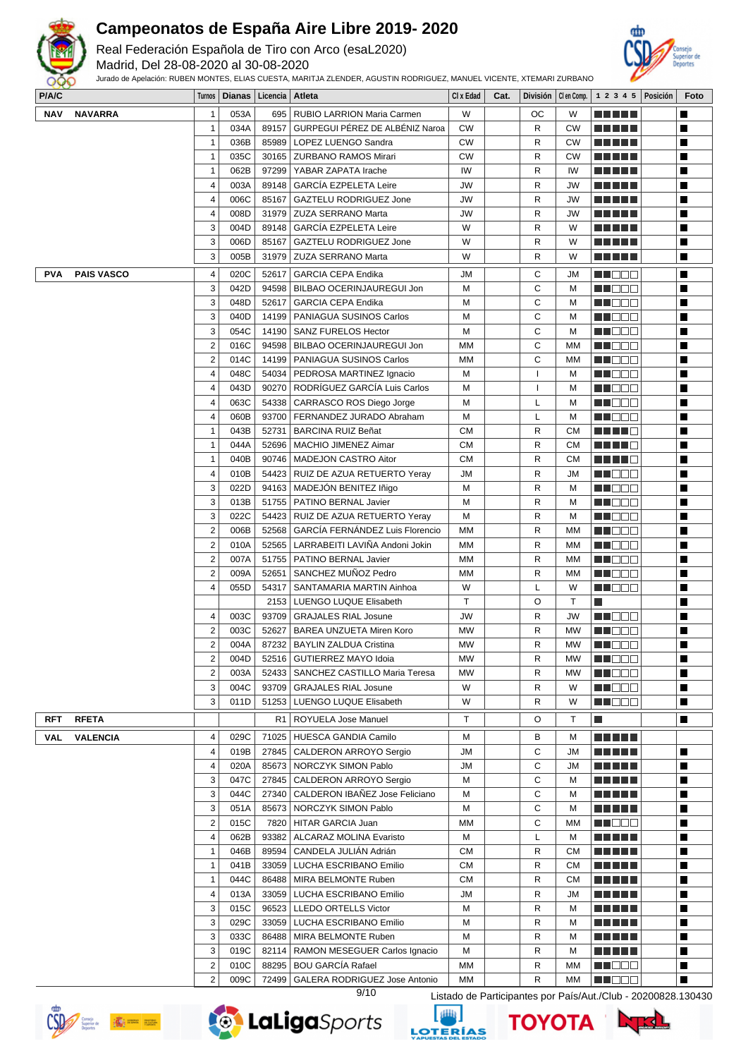

Real Federación Española de Tiro con Arco (esaL2020)

Madrid, Del 28-08-2020 al 30-08-2020

Jurado de Apelación: RUBEN MONTES, ELIAS CUESTA, MARITJA ZLENDER, AGUSTIN RODRIGUEZ, MANUEL VICENTE, XTEMARI ZURBANO



| P/A/C      |                   |                | Turnos   Dianas   Licencia   Atleta |       |                                        | CI x Edad | Cat. |              |              | División   Clen Comp.   1 2 3 4 5   Posición | Foto           |
|------------|-------------------|----------------|-------------------------------------|-------|----------------------------------------|-----------|------|--------------|--------------|----------------------------------------------|----------------|
| NAV        | <b>NAVARRA</b>    | $\mathbf{1}$   | 053A                                |       | 695   RUBIO LARRION Maria Carmen       | W         |      | OС           | W            | n din se                                     | $\blacksquare$ |
|            |                   | $\mathbf{1}$   | 034A                                | 89157 | GURPEGUI PÉREZ DE ALBÉNIZ Naroa        | <b>CW</b> |      | R            | СW           | <u> El El El E</u>                           | П              |
|            |                   | $\mathbf{1}$   | 036B                                |       | 85989   LOPEZ LUENGO Sandra            | <b>CW</b> |      | R            | <b>CW</b>    | a da da                                      | П              |
|            |                   | $\mathbf{1}$   | 035C                                |       | 30165   ZURBANO RAMOS Mirari           | <b>CW</b> |      | R            | CW           | n din bin                                    | $\blacksquare$ |
|            |                   | 1              | 062B                                | 97299 | YABAR ZAPATA Irache                    | IW        |      | R            | IW           | a da bid                                     | H              |
|            |                   | $\overline{4}$ | 003A                                | 89148 | <b>GARCÍA EZPELETA Leire</b>           | JW        |      | R            | JW           | <u> El Hel</u>                               | П              |
|            |                   | 4              | 006C                                | 85167 | GAZTELU RODRIGUEZ Jone                 | JW        |      | R            | <b>JW</b>    | <u> La La La</u>                             | Ш              |
|            |                   |                |                                     |       |                                        |           |      |              |              |                                              |                |
|            |                   | $\overline{4}$ | 008D                                |       | 31979   ZUZA SERRANO Marta             | JW        |      | R            | JW           | <u> La La La</u>                             | П              |
|            |                   | 3              | 004D                                | 89148 | <b>GARCÍA EZPELETA Leire</b>           | W         |      | R            | W            |                                              | H              |
|            |                   | 3              | 006D                                | 85167 | <b>GAZTELU RODRIGUEZ Jone</b>          | W         |      | R            | W            | a da bar                                     | $\blacksquare$ |
|            |                   | 3              | 005B                                | 31979 | ZUZA SERRANO Marta                     | W         |      | R            | W            | M M M M M                                    | П              |
| PVA        | <b>PAIS VASCO</b> | 4              | 020C                                | 52617 | <b>GARCIA CEPA Endika</b>              | JМ        |      | С            | JM           | M NOCH                                       | П              |
|            |                   | 3              | 042D                                |       | 94598   BILBAO OCERINJAUREGUI Jon      | M         |      | C            | м            | N NO O O                                     | $\blacksquare$ |
|            |                   | 3              | 048D                                | 52617 | <b>GARCIA CEPA Endika</b>              | М         |      | C            | M            | MN 888                                       | $\blacksquare$ |
|            |                   | 3              | 040D                                |       | 14199   PANIAGUA SUSINOS Carlos        | М         |      | C            | м            | <u>Li Boo</u>                                | $\blacksquare$ |
|            |                   | 3              | 054C                                |       | 14190   SANZ FURELOS Hector            | м         |      | С            | м            | M HO B W                                     | П              |
|            |                   |                |                                     |       |                                        |           |      | C            |              |                                              |                |
|            |                   | $\overline{2}$ | 016C                                |       | 94598   BILBAO OCERINJAUREGUI Jon      | МM        |      |              | MM           | MN 888                                       | П              |
|            |                   | $\sqrt{2}$     | 014C                                | 14199 | PANIAGUA SUSINOS Carlos                | МM        |      | C            | <b>MM</b>    | M NO DO                                      | П              |
|            |                   | $\overline{4}$ | 048C                                | 54034 | PEDROSA MARTINEZ Ignacio               | M         |      | $\mathbf{I}$ | м            | M DOO                                        | П              |
|            |                   | $\overline{4}$ | 043D                                |       | 90270   RODRÍGUEZ GARCÍA Luis Carlos   | М         |      | -1           | м            | MA BEE                                       | П              |
|            |                   | $\overline{4}$ | 063C                                |       | 54338   CARRASCO ROS Diego Jorge       | M         |      | L            | M            | MUOO                                         | Ш              |
|            |                   | $\overline{4}$ | 060B                                |       | 93700   FERNANDEZ JURADO Abraham       | M         |      | L            | м            | a de E                                       | $\blacksquare$ |
|            |                   | $\mathbf{1}$   | 043B                                |       | 52731   BARCINA RUIZ Beñat             | <b>CM</b> |      | R            | <b>CM</b>    | HH 18                                        | $\blacksquare$ |
|            |                   | $\mathbf{1}$   | 044A                                | 52696 | MACHIO JIMENEZ Aimar                   | <b>CM</b> |      | R            | <b>CM</b>    | n di Tinggi                                  | $\blacksquare$ |
|            |                   | $\mathbf{1}$   | 040B                                | 90746 | MADEJON CASTRO Aitor                   | <b>CM</b> |      | R            | <b>CM</b>    | MA MARINA                                    | П              |
|            |                   | 4              | 010B                                | 54423 | RUIZ DE AZUA RETUERTO Yeray            | JМ        |      | R            | JМ           | MN 888                                       | П              |
|            |                   | 3              | 022D                                | 94163 | MADEJÓN BENITEZ Iñigo                  | M         |      | R            | м            | M DO D                                       | H              |
|            |                   | 3              | 013B                                | 51755 | <b>PATINO BERNAL Javier</b>            | M         |      | R            | м            | MA MO M                                      | $\blacksquare$ |
|            |                   |                |                                     |       |                                        |           |      |              |              |                                              |                |
|            |                   | 3              | 022C                                |       | 54423   RUIZ DE AZUA RETUERTO Yeray    | M         |      | R            | м            | MA DE E                                      | П              |
|            |                   | 2              | 006B                                | 52568 | GARCÍA FERNÁNDEZ Luis Florencio        | МM        |      | R            | MM           | MA DE L                                      | Ш              |
|            |                   | $\overline{2}$ | 010A                                | 52565 | LARRABEITI LAVIÑA Andoni Jokin         | МM        |      | R            | МM           | en de la                                     | $\blacksquare$ |
|            |                   | $\sqrt{2}$     | 007A                                |       | 51755   PATINO BERNAL Javier           | МM        |      | R            | MМ           | <u>LI BEE</u>                                | H              |
|            |                   | $\overline{2}$ | 009A                                | 52651 | SANCHEZ MUNOZ Pedro                    | МM        |      | R            | МM           | n nooc                                       | $\blacksquare$ |
|            |                   | $\overline{4}$ | 055D                                | 54317 | SANTAMARIA MARTIN Ainhoa               | W         |      | L            | W            | M H S S G                                    | П              |
|            |                   |                |                                     | 2153  | LUENGO LUQUE Elisabeth                 | T         |      | $\circ$      | $\mathsf{T}$ | П                                            | П              |
|            |                   | 4              | 003C                                | 93709 | <b>GRAJALES RIAL Josune</b>            | JW        |      | R            | <b>JW</b>    | M NO BIB                                     | Ш              |
|            |                   | $\overline{2}$ | 003C                                | 52627 | BAREA UNZUETA Miren Koro               | MW        |      | R            | MW           | MA OO U                                      | П              |
|            |                   | $\sqrt{2}$     | 004A                                |       | 87232   BAYLIN ZALDUA Cristina         | МW        |      | R            | МW           | MA DE S                                      | H              |
|            |                   | 2              | 004D                                |       | 52516 GUTIERREZ MAYO Idoia             | <b>MW</b> |      | R            | MW           | <b>HEDDD</b>                                 | ш              |
|            |                   | $\overline{2}$ | 003A                                |       | 52433   SANCHEZ CASTILLO Maria Teresa  | <b>MW</b> |      | R            | MW           | M DOO                                        | П              |
|            |                   | 3              | 004C                                | 93709 | <b>GRAJALES RIAL Josune</b>            | W         |      | R            | W            | M O O O                                      | П              |
|            |                   | 3              | 011D                                |       | 51253   LUENGO LUQUE Elisabeth         | W         |      | R            | W            | MN 888                                       | $\blacksquare$ |
|            |                   |                |                                     |       |                                        |           |      |              |              |                                              |                |
| <b>RFT</b> | <b>RFETA</b>      |                |                                     | R1    | ROYUELA Jose Manuel                    | т         |      | O            | Τ            | $\Box$                                       | П              |
| VAL        | <b>VALENCIA</b>   | 4              | 029C                                | 71025 | HUESCA GANDIA Camilo                   | м         |      | в            | м            | <u> El Bell</u>                              |                |
|            |                   | 4              | 019B                                |       | 27845   CALDERON ARROYO Sergio         | JМ        |      | С            | JM           | MA MARIT                                     | П              |
|            |                   | $\overline{4}$ | 020A                                |       | 85673   NORCZYK SIMON Pablo            | JМ        |      | C            | JМ           | MAN MA                                       | П              |
|            |                   | 3              | 047C                                |       | 27845   CALDERON ARROYO Sergio         | M         |      | С            | м            | <u> El Bell</u>                              | П              |
|            |                   | 3              | 044C                                |       | 27340   CALDERON IBAÑEZ Jose Feliciano | M         |      | С            | M            | <u> El Espa</u>                              | Ш              |
|            |                   | 3              | 051A                                |       | 85673 NORCZYK SIMON Pablo              | М         |      | C            | M            | <u> El El El E</u>                           | П              |
|            |                   | $\overline{2}$ | 015C                                | 7820  | HITAR GARCIA Juan                      | МM        |      | C            | МM           | M DO D                                       | H              |
|            |                   |                |                                     |       |                                        |           |      |              |              |                                              |                |
|            |                   | $\overline{4}$ | 062B                                | 93382 | ALCARAZ MOLINA Evaristo                | M         |      | L            | M            | <u> La La La</u>                             | П              |
|            |                   | $\mathbf{1}$   | 046B                                | 89594 | CANDELA JULIÁN Adrián                  | <b>CM</b> |      | R            | <b>CM</b>    | <u> E E E E E</u>                            | П              |
|            |                   | $\mathbf{1}$   | 041B                                | 33059 | LUCHA ESCRIBANO Emilio                 | СM        |      | R            | <b>CM</b>    | <u> El Ser</u>                               | Ш              |
|            |                   | 1              | 044C                                | 86488 | MIRA BELMONTE Ruben                    | СM        |      | R            | <b>CM</b>    | <u> La La La</u>                             | П              |
|            |                   | 4              | 013A                                | 33059 | LUCHA ESCRIBANO Emilio                 | JМ        |      | R            | JM           | <u> El Bell</u>                              | П              |
|            |                   | 3              | 015C                                | 96523 | LLEDO ORTELLS Victor                   | M         |      | R            | м            | <u> Here i Her</u>                           | П              |
|            |                   | 3              | 029C                                | 33059 | LUCHA ESCRIBANO Emilio                 | M         |      | R            | м            | a da da                                      | Ш              |
|            |                   | 3              | 033C                                |       | 86488   MIRA BELMONTE Ruben            | M         |      | R            | м            |                                              | П              |
|            |                   | 3              | 019C                                |       | 82114   RAMON MESEGUER Carlos Ignacio  | м         |      | R            | м            | <u> La La La</u>                             | $\blacksquare$ |
|            |                   | $\overline{2}$ | 010C                                |       | 88295   BOU GARCÍA Rafael              | МM        |      | R            | МM           | M NOOC                                       | П              |
|            |                   | 2              | 009C                                |       | 72499   GALERA RODRIGUEZ Jose Antonio  | MМ        |      | R            | МM           | MN DEC                                       | П              |
|            |                   |                |                                     |       |                                        |           |      |              |              |                                              |                |





9/10 Listado de Participantes por País/Aut./Club - 20200828.130430